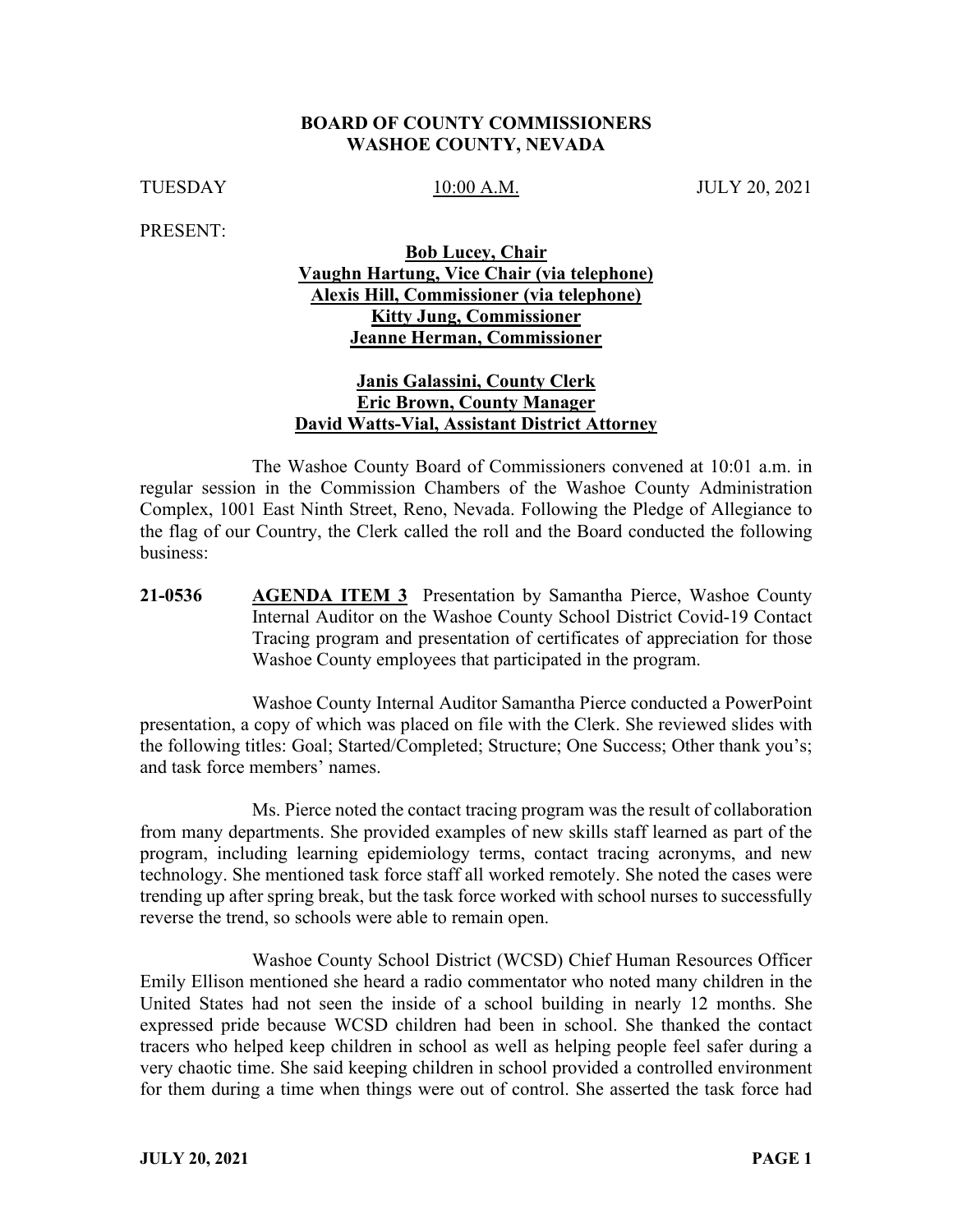### **BOARD OF COUNTY COMMISSIONERS WASHOE COUNTY, NEVADA**

TUESDAY 10:00 A.M. JULY 20, 2021

PRESENT:

## **Bob Lucey, Chair Vaughn Hartung, Vice Chair (via telephone) Alexis Hill, Commissioner (via telephone) Kitty Jung, Commissioner Jeanne Herman, Commissioner**

## **Janis Galassini, County Clerk Eric Brown, County Manager David Watts-Vial, Assistant District Attorney**

The Washoe County Board of Commissioners convened at 10:01 a.m. in regular session in the Commission Chambers of the Washoe County Administration Complex, 1001 East Ninth Street, Reno, Nevada. Following the Pledge of Allegiance to the flag of our Country, the Clerk called the roll and the Board conducted the following business:

**21-0536 AGENDA ITEM 3** Presentation by Samantha Pierce, Washoe County Internal Auditor on the Washoe County School District Covid-19 Contact Tracing program and presentation of certificates of appreciation for those Washoe County employees that participated in the program.

Washoe County Internal Auditor Samantha Pierce conducted a PowerPoint presentation, a copy of which was placed on file with the Clerk. She reviewed slides with the following titles: Goal; Started/Completed; Structure; One Success; Other thank you's; and task force members' names.

Ms. Pierce noted the contact tracing program was the result of collaboration from many departments. She provided examples of new skills staff learned as part of the program, including learning epidemiology terms, contact tracing acronyms, and new technology. She mentioned task force staff all worked remotely. She noted the cases were trending up after spring break, but the task force worked with school nurses to successfully reverse the trend, so schools were able to remain open.

Washoe County School District (WCSD) Chief Human Resources Officer Emily Ellison mentioned she heard a radio commentator who noted many children in the United States had not seen the inside of a school building in nearly 12 months. She expressed pride because WCSD children had been in school. She thanked the contact tracers who helped keep children in school as well as helping people feel safer during a very chaotic time. She said keeping children in school provided a controlled environment for them during a time when things were out of control. She asserted the task force had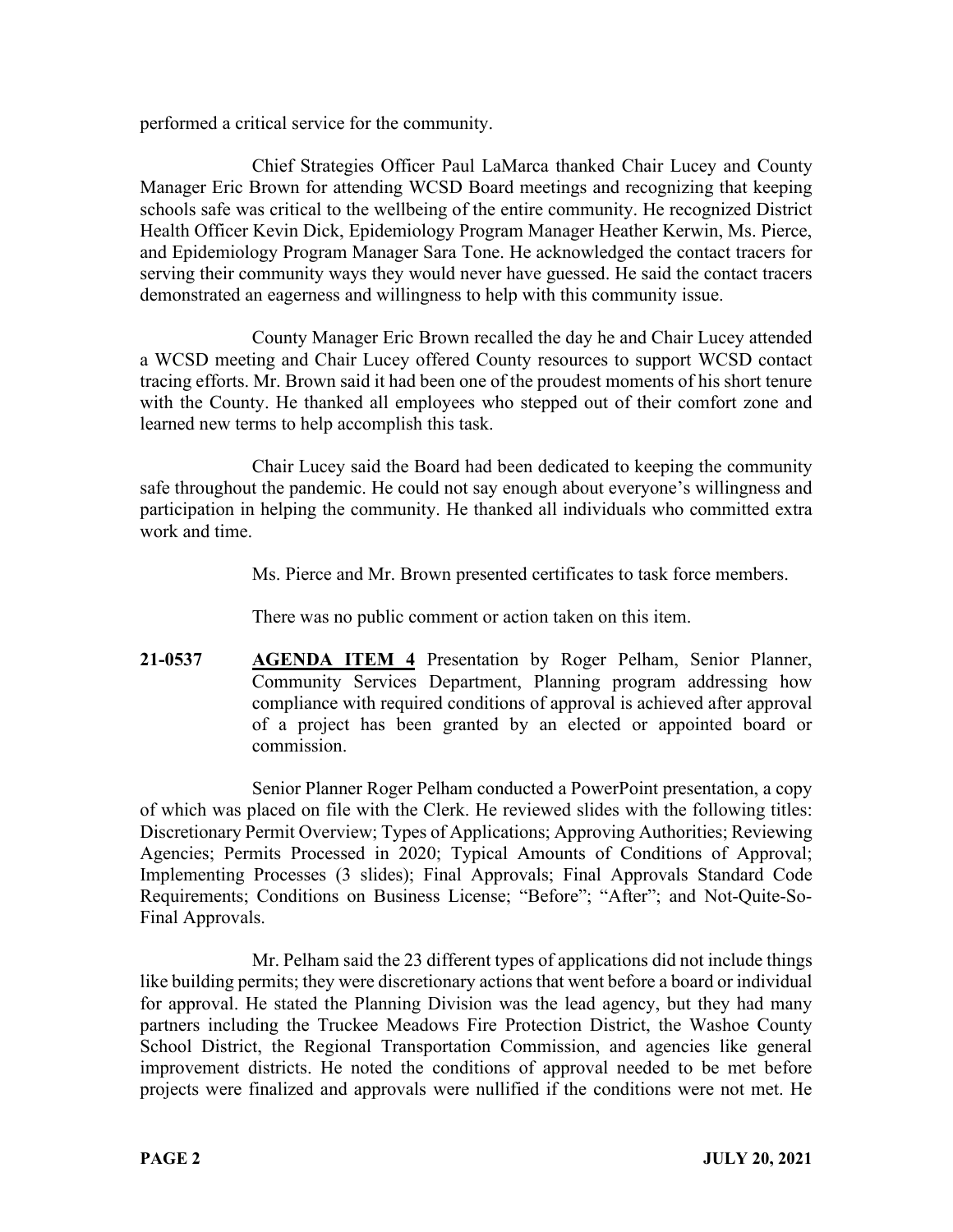performed a critical service for the community.

Chief Strategies Officer Paul LaMarca thanked Chair Lucey and County Manager Eric Brown for attending WCSD Board meetings and recognizing that keeping schools safe was critical to the wellbeing of the entire community. He recognized District Health Officer Kevin Dick, Epidemiology Program Manager Heather Kerwin, Ms. Pierce, and Epidemiology Program Manager Sara Tone. He acknowledged the contact tracers for serving their community ways they would never have guessed. He said the contact tracers demonstrated an eagerness and willingness to help with this community issue.

County Manager Eric Brown recalled the day he and Chair Lucey attended a WCSD meeting and Chair Lucey offered County resources to support WCSD contact tracing efforts. Mr. Brown said it had been one of the proudest moments of his short tenure with the County. He thanked all employees who stepped out of their comfort zone and learned new terms to help accomplish this task.

Chair Lucey said the Board had been dedicated to keeping the community safe throughout the pandemic. He could not say enough about everyone's willingness and participation in helping the community. He thanked all individuals who committed extra work and time.

Ms. Pierce and Mr. Brown presented certificates to task force members.

There was no public comment or action taken on this item.

**21-0537 AGENDA ITEM 4** Presentation by Roger Pelham, Senior Planner, Community Services Department, Planning program addressing how compliance with required conditions of approval is achieved after approval of a project has been granted by an elected or appointed board or commission.

Senior Planner Roger Pelham conducted a PowerPoint presentation, a copy of which was placed on file with the Clerk. He reviewed slides with the following titles: Discretionary Permit Overview; Types of Applications; Approving Authorities; Reviewing Agencies; Permits Processed in 2020; Typical Amounts of Conditions of Approval; Implementing Processes (3 slides); Final Approvals; Final Approvals Standard Code Requirements; Conditions on Business License; "Before"; "After"; and Not-Quite-So-Final Approvals.

Mr. Pelham said the 23 different types of applications did not include things like building permits; they were discretionary actions that went before a board or individual for approval. He stated the Planning Division was the lead agency, but they had many partners including the Truckee Meadows Fire Protection District, the Washoe County School District, the Regional Transportation Commission, and agencies like general improvement districts. He noted the conditions of approval needed to be met before projects were finalized and approvals were nullified if the conditions were not met. He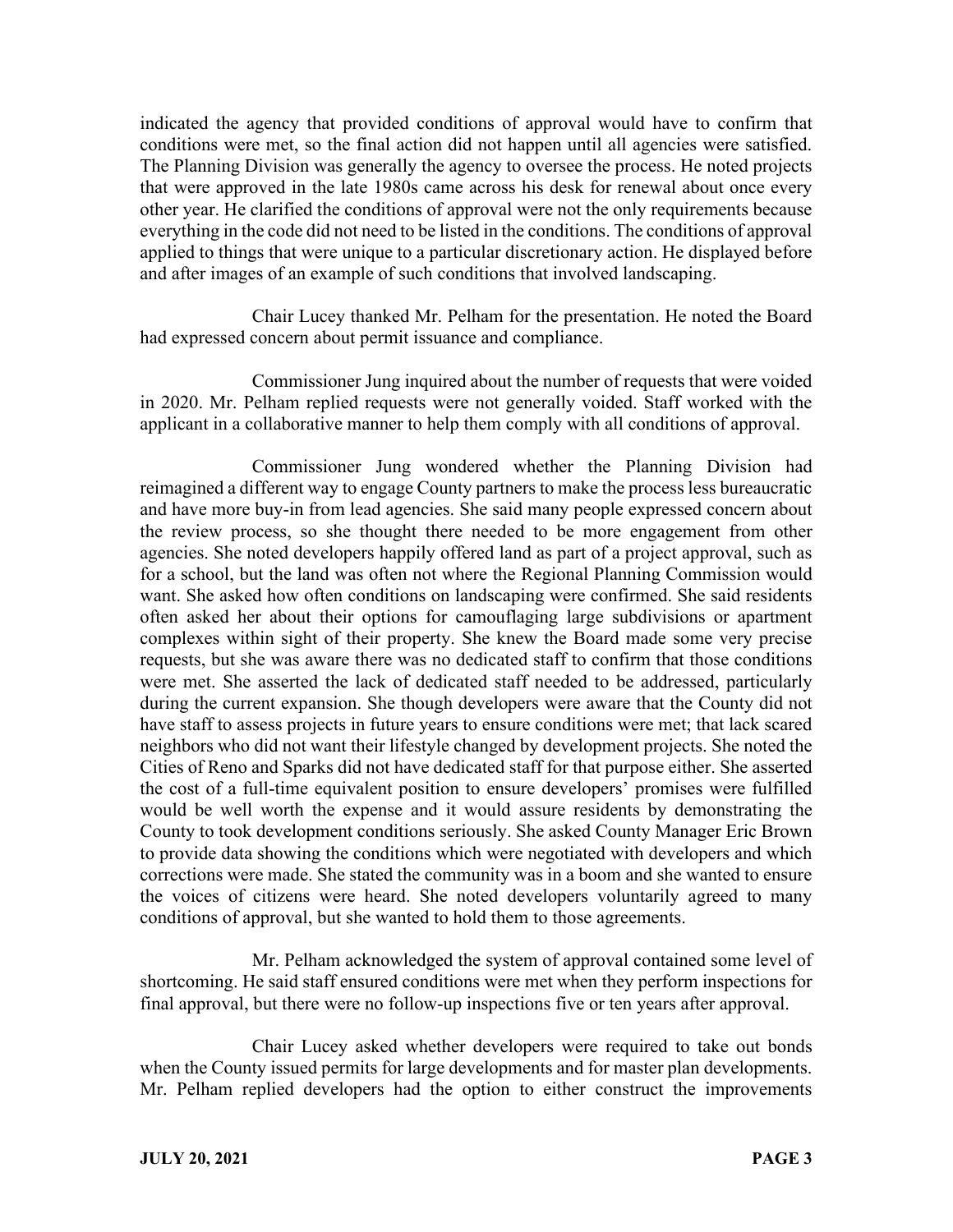indicated the agency that provided conditions of approval would have to confirm that conditions were met, so the final action did not happen until all agencies were satisfied. The Planning Division was generally the agency to oversee the process. He noted projects that were approved in the late 1980s came across his desk for renewal about once every other year. He clarified the conditions of approval were not the only requirements because everything in the code did not need to be listed in the conditions. The conditions of approval applied to things that were unique to a particular discretionary action. He displayed before and after images of an example of such conditions that involved landscaping.

Chair Lucey thanked Mr. Pelham for the presentation. He noted the Board had expressed concern about permit issuance and compliance.

Commissioner Jung inquired about the number of requests that were voided in 2020. Mr. Pelham replied requests were not generally voided. Staff worked with the applicant in a collaborative manner to help them comply with all conditions of approval.

Commissioner Jung wondered whether the Planning Division had reimagined a different way to engage County partners to make the process less bureaucratic and have more buy-in from lead agencies. She said many people expressed concern about the review process, so she thought there needed to be more engagement from other agencies. She noted developers happily offered land as part of a project approval, such as for a school, but the land was often not where the Regional Planning Commission would want. She asked how often conditions on landscaping were confirmed. She said residents often asked her about their options for camouflaging large subdivisions or apartment complexes within sight of their property. She knew the Board made some very precise requests, but she was aware there was no dedicated staff to confirm that those conditions were met. She asserted the lack of dedicated staff needed to be addressed, particularly during the current expansion. She though developers were aware that the County did not have staff to assess projects in future years to ensure conditions were met; that lack scared neighbors who did not want their lifestyle changed by development projects. She noted the Cities of Reno and Sparks did not have dedicated staff for that purpose either. She asserted the cost of a full-time equivalent position to ensure developers' promises were fulfilled would be well worth the expense and it would assure residents by demonstrating the County to took development conditions seriously. She asked County Manager Eric Brown to provide data showing the conditions which were negotiated with developers and which corrections were made. She stated the community was in a boom and she wanted to ensure the voices of citizens were heard. She noted developers voluntarily agreed to many conditions of approval, but she wanted to hold them to those agreements.

Mr. Pelham acknowledged the system of approval contained some level of shortcoming. He said staff ensured conditions were met when they perform inspections for final approval, but there were no follow-up inspections five or ten years after approval.

Chair Lucey asked whether developers were required to take out bonds when the County issued permits for large developments and for master plan developments. Mr. Pelham replied developers had the option to either construct the improvements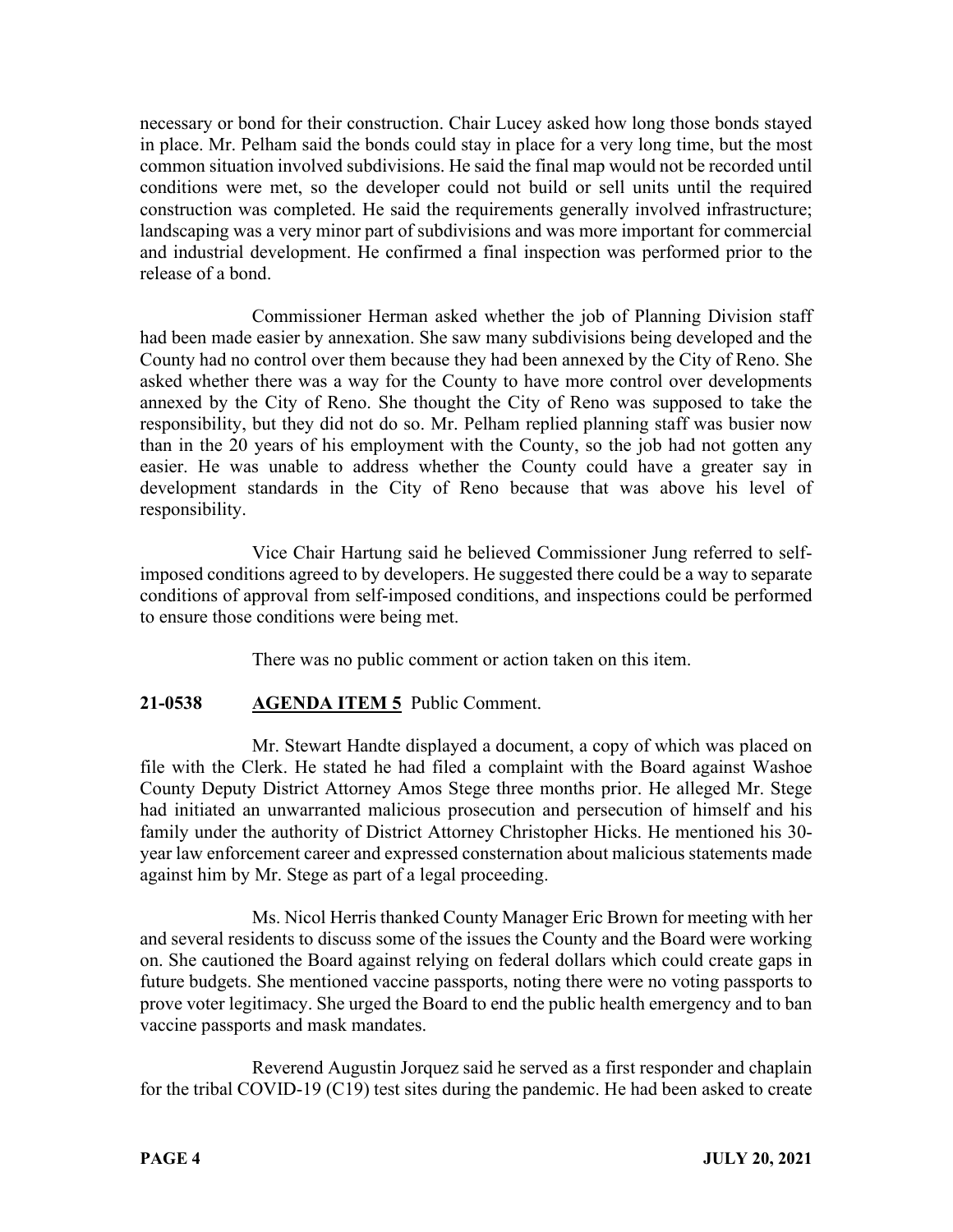necessary or bond for their construction. Chair Lucey asked how long those bonds stayed in place. Mr. Pelham said the bonds could stay in place for a very long time, but the most common situation involved subdivisions. He said the final map would not be recorded until conditions were met, so the developer could not build or sell units until the required construction was completed. He said the requirements generally involved infrastructure; landscaping was a very minor part of subdivisions and was more important for commercial and industrial development. He confirmed a final inspection was performed prior to the release of a bond.

Commissioner Herman asked whether the job of Planning Division staff had been made easier by annexation. She saw many subdivisions being developed and the County had no control over them because they had been annexed by the City of Reno. She asked whether there was a way for the County to have more control over developments annexed by the City of Reno. She thought the City of Reno was supposed to take the responsibility, but they did not do so. Mr. Pelham replied planning staff was busier now than in the 20 years of his employment with the County, so the job had not gotten any easier. He was unable to address whether the County could have a greater say in development standards in the City of Reno because that was above his level of responsibility.

Vice Chair Hartung said he believed Commissioner Jung referred to selfimposed conditions agreed to by developers. He suggested there could be a way to separate conditions of approval from self-imposed conditions, and inspections could be performed to ensure those conditions were being met.

There was no public comment or action taken on this item.

# **21-0538 AGENDA ITEM 5** Public Comment.

Mr. Stewart Handte displayed a document, a copy of which was placed on file with the Clerk. He stated he had filed a complaint with the Board against Washoe County Deputy District Attorney Amos Stege three months prior. He alleged Mr. Stege had initiated an unwarranted malicious prosecution and persecution of himself and his family under the authority of District Attorney Christopher Hicks. He mentioned his 30 year law enforcement career and expressed consternation about malicious statements made against him by Mr. Stege as part of a legal proceeding.

Ms. Nicol Herris thanked County Manager Eric Brown for meeting with her and several residents to discuss some of the issues the County and the Board were working on. She cautioned the Board against relying on federal dollars which could create gaps in future budgets. She mentioned vaccine passports, noting there were no voting passports to prove voter legitimacy. She urged the Board to end the public health emergency and to ban vaccine passports and mask mandates.

Reverend Augustin Jorquez said he served as a first responder and chaplain for the tribal COVID-19 (C19) test sites during the pandemic. He had been asked to create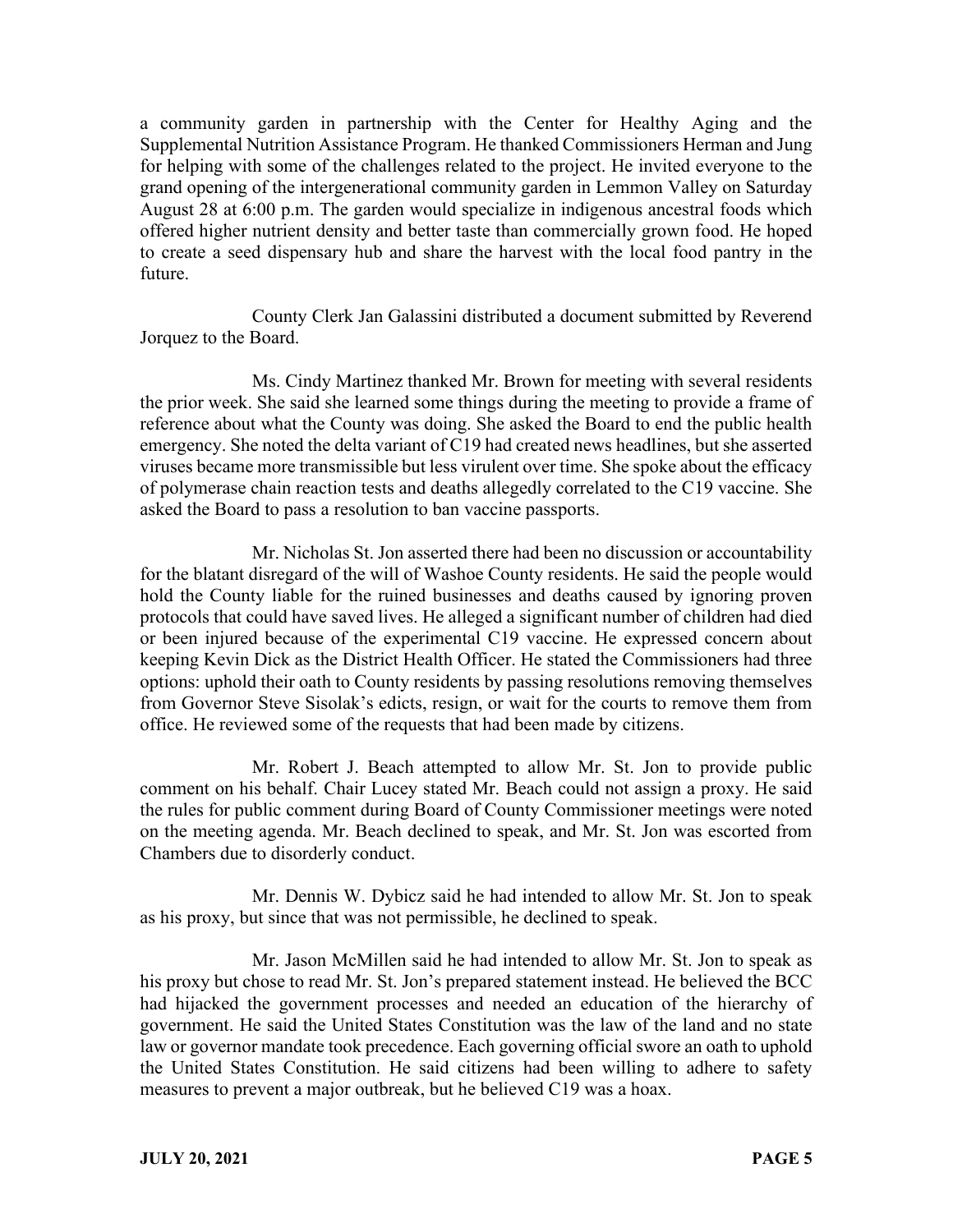a community garden in partnership with the Center for Healthy Aging and the Supplemental Nutrition Assistance Program. He thanked Commissioners Herman and Jung for helping with some of the challenges related to the project. He invited everyone to the grand opening of the intergenerational community garden in Lemmon Valley on Saturday August 28 at 6:00 p.m. The garden would specialize in indigenous ancestral foods which offered higher nutrient density and better taste than commercially grown food. He hoped to create a seed dispensary hub and share the harvest with the local food pantry in the future.

County Clerk Jan Galassini distributed a document submitted by Reverend Jorquez to the Board.

Ms. Cindy Martinez thanked Mr. Brown for meeting with several residents the prior week. She said she learned some things during the meeting to provide a frame of reference about what the County was doing. She asked the Board to end the public health emergency. She noted the delta variant of C19 had created news headlines, but she asserted viruses became more transmissible but less virulent over time. She spoke about the efficacy of polymerase chain reaction tests and deaths allegedly correlated to the C19 vaccine. She asked the Board to pass a resolution to ban vaccine passports.

Mr. Nicholas St. Jon asserted there had been no discussion or accountability for the blatant disregard of the will of Washoe County residents. He said the people would hold the County liable for the ruined businesses and deaths caused by ignoring proven protocols that could have saved lives. He alleged a significant number of children had died or been injured because of the experimental C19 vaccine. He expressed concern about keeping Kevin Dick as the District Health Officer. He stated the Commissioners had three options: uphold their oath to County residents by passing resolutions removing themselves from Governor Steve Sisolak's edicts, resign, or wait for the courts to remove them from office. He reviewed some of the requests that had been made by citizens.

Mr. Robert J. Beach attempted to allow Mr. St. Jon to provide public comment on his behalf. Chair Lucey stated Mr. Beach could not assign a proxy. He said the rules for public comment during Board of County Commissioner meetings were noted on the meeting agenda. Mr. Beach declined to speak, and Mr. St. Jon was escorted from Chambers due to disorderly conduct.

Mr. Dennis W. Dybicz said he had intended to allow Mr. St. Jon to speak as his proxy, but since that was not permissible, he declined to speak.

Mr. Jason McMillen said he had intended to allow Mr. St. Jon to speak as his proxy but chose to read Mr. St. Jon's prepared statement instead. He believed the BCC had hijacked the government processes and needed an education of the hierarchy of government. He said the United States Constitution was the law of the land and no state law or governor mandate took precedence. Each governing official swore an oath to uphold the United States Constitution. He said citizens had been willing to adhere to safety measures to prevent a major outbreak, but he believed C19 was a hoax.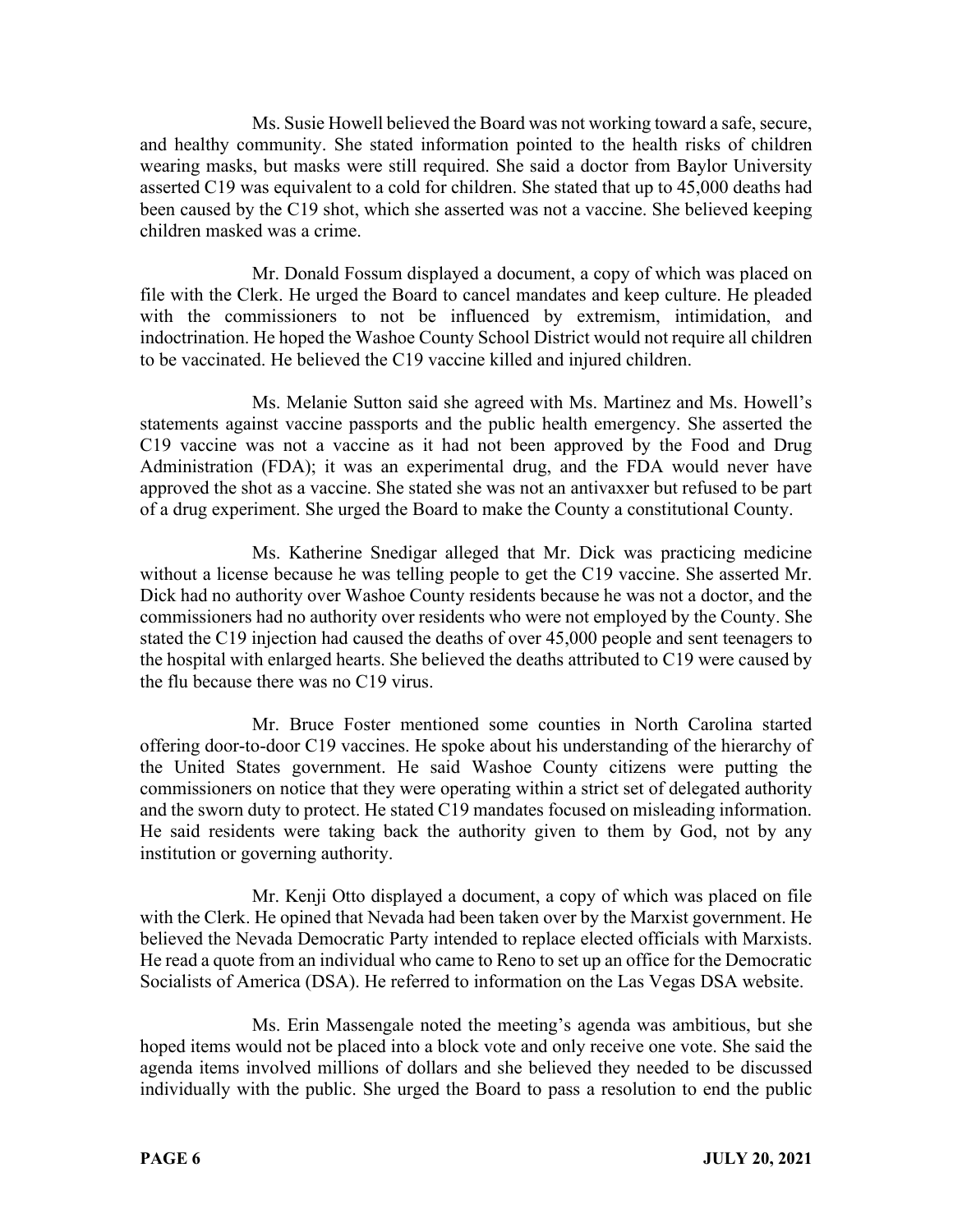Ms. Susie Howell believed the Board was not working toward a safe, secure, and healthy community. She stated information pointed to the health risks of children wearing masks, but masks were still required. She said a doctor from Baylor University asserted C19 was equivalent to a cold for children. She stated that up to 45,000 deaths had been caused by the C19 shot, which she asserted was not a vaccine. She believed keeping children masked was a crime.

Mr. Donald Fossum displayed a document, a copy of which was placed on file with the Clerk. He urged the Board to cancel mandates and keep culture. He pleaded with the commissioners to not be influenced by extremism, intimidation, and indoctrination. He hoped the Washoe County School District would not require all children to be vaccinated. He believed the C19 vaccine killed and injured children.

Ms. Melanie Sutton said she agreed with Ms. Martinez and Ms. Howell's statements against vaccine passports and the public health emergency. She asserted the C19 vaccine was not a vaccine as it had not been approved by the Food and Drug Administration (FDA); it was an experimental drug, and the FDA would never have approved the shot as a vaccine. She stated she was not an antivaxxer but refused to be part of a drug experiment. She urged the Board to make the County a constitutional County.

Ms. Katherine Snedigar alleged that Mr. Dick was practicing medicine without a license because he was telling people to get the C19 vaccine. She asserted Mr. Dick had no authority over Washoe County residents because he was not a doctor, and the commissioners had no authority over residents who were not employed by the County. She stated the C19 injection had caused the deaths of over 45,000 people and sent teenagers to the hospital with enlarged hearts. She believed the deaths attributed to C19 were caused by the flu because there was no C19 virus.

Mr. Bruce Foster mentioned some counties in North Carolina started offering door-to-door C19 vaccines. He spoke about his understanding of the hierarchy of the United States government. He said Washoe County citizens were putting the commissioners on notice that they were operating within a strict set of delegated authority and the sworn duty to protect. He stated C19 mandates focused on misleading information. He said residents were taking back the authority given to them by God, not by any institution or governing authority.

Mr. Kenji Otto displayed a document, a copy of which was placed on file with the Clerk. He opined that Nevada had been taken over by the Marxist government. He believed the Nevada Democratic Party intended to replace elected officials with Marxists. He read a quote from an individual who came to Reno to set up an office for the Democratic Socialists of America (DSA). He referred to information on the Las Vegas DSA website.

Ms. Erin Massengale noted the meeting's agenda was ambitious, but she hoped items would not be placed into a block vote and only receive one vote. She said the agenda items involved millions of dollars and she believed they needed to be discussed individually with the public. She urged the Board to pass a resolution to end the public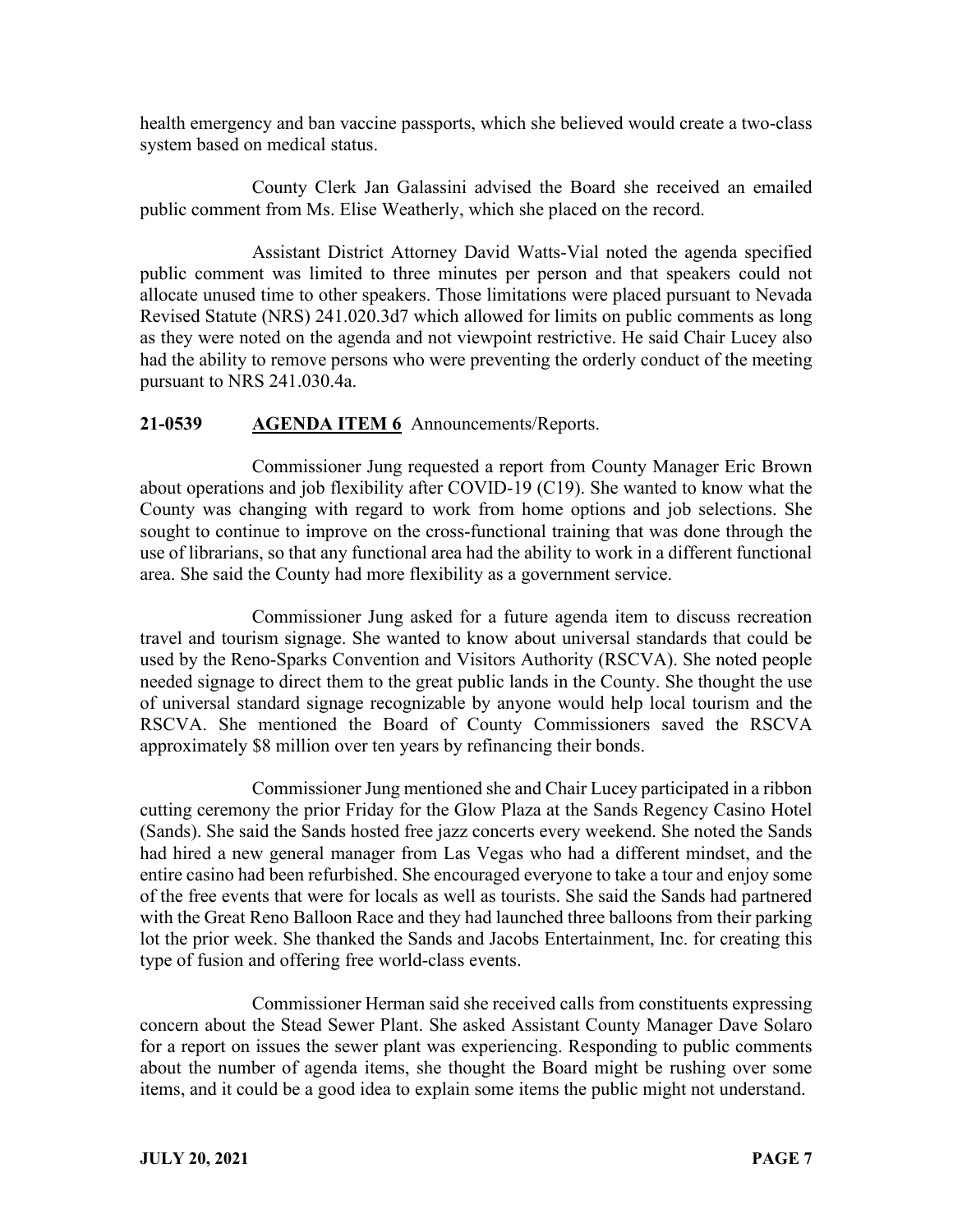health emergency and ban vaccine passports, which she believed would create a two-class system based on medical status.

County Clerk Jan Galassini advised the Board she received an emailed public comment from Ms. Elise Weatherly, which she placed on the record.

Assistant District Attorney David Watts-Vial noted the agenda specified public comment was limited to three minutes per person and that speakers could not allocate unused time to other speakers. Those limitations were placed pursuant to Nevada Revised Statute (NRS) 241.020.3d7 which allowed for limits on public comments as long as they were noted on the agenda and not viewpoint restrictive. He said Chair Lucey also had the ability to remove persons who were preventing the orderly conduct of the meeting pursuant to NRS 241.030.4a.

# **21-0539 AGENDA ITEM 6** Announcements/Reports.

Commissioner Jung requested a report from County Manager Eric Brown about operations and job flexibility after COVID-19 (C19). She wanted to know what the County was changing with regard to work from home options and job selections. She sought to continue to improve on the cross-functional training that was done through the use of librarians, so that any functional area had the ability to work in a different functional area. She said the County had more flexibility as a government service.

Commissioner Jung asked for a future agenda item to discuss recreation travel and tourism signage. She wanted to know about universal standards that could be used by the Reno-Sparks Convention and Visitors Authority (RSCVA). She noted people needed signage to direct them to the great public lands in the County. She thought the use of universal standard signage recognizable by anyone would help local tourism and the RSCVA. She mentioned the Board of County Commissioners saved the RSCVA approximately \$8 million over ten years by refinancing their bonds.

Commissioner Jung mentioned she and Chair Lucey participated in a ribbon cutting ceremony the prior Friday for the Glow Plaza at the Sands Regency Casino Hotel (Sands). She said the Sands hosted free jazz concerts every weekend. She noted the Sands had hired a new general manager from Las Vegas who had a different mindset, and the entire casino had been refurbished. She encouraged everyone to take a tour and enjoy some of the free events that were for locals as well as tourists. She said the Sands had partnered with the Great Reno Balloon Race and they had launched three balloons from their parking lot the prior week. She thanked the Sands and Jacobs Entertainment, Inc. for creating this type of fusion and offering free world-class events.

Commissioner Herman said she received calls from constituents expressing concern about the Stead Sewer Plant. She asked Assistant County Manager Dave Solaro for a report on issues the sewer plant was experiencing. Responding to public comments about the number of agenda items, she thought the Board might be rushing over some items, and it could be a good idea to explain some items the public might not understand.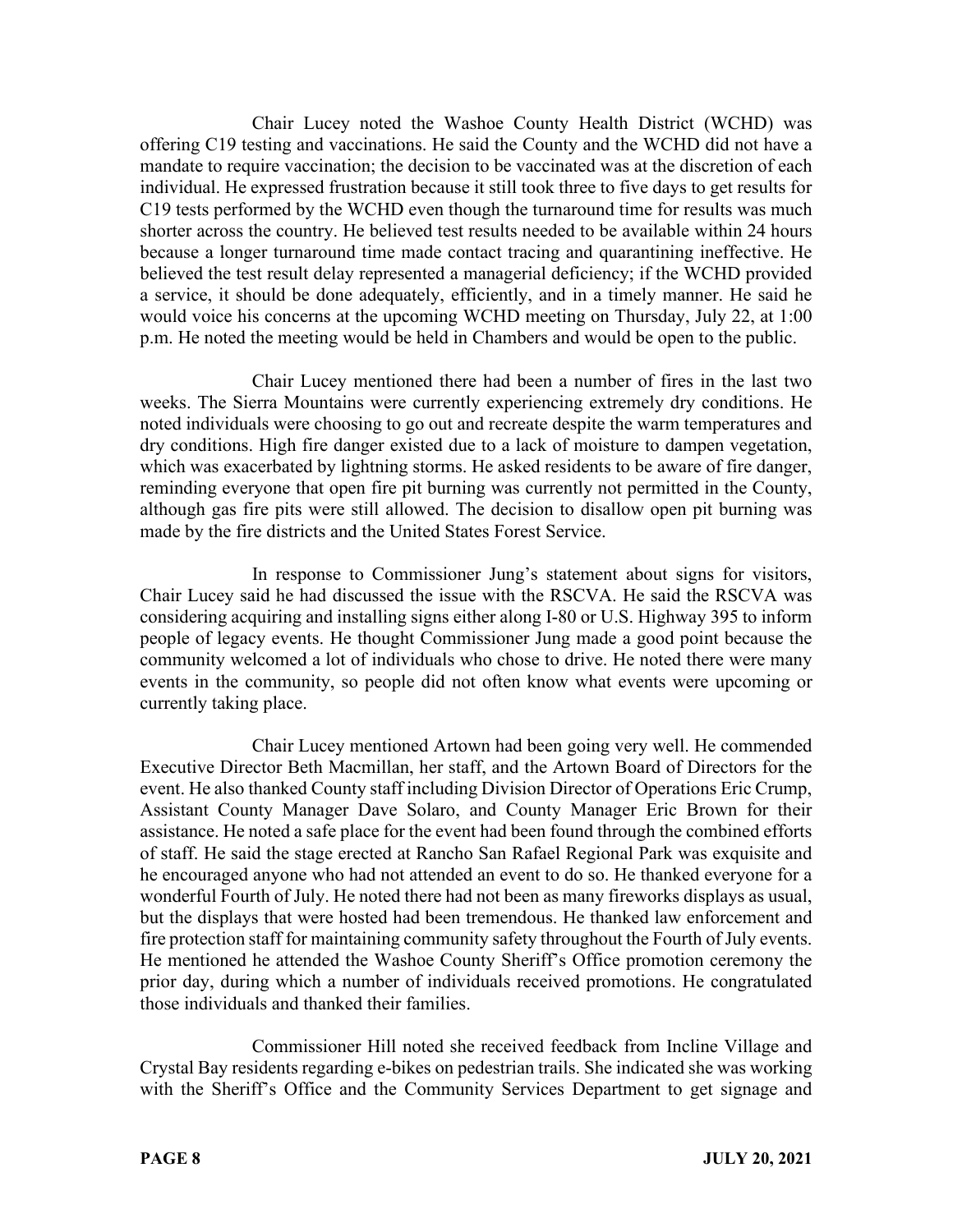Chair Lucey noted the Washoe County Health District (WCHD) was offering C19 testing and vaccinations. He said the County and the WCHD did not have a mandate to require vaccination; the decision to be vaccinated was at the discretion of each individual. He expressed frustration because it still took three to five days to get results for C19 tests performed by the WCHD even though the turnaround time for results was much shorter across the country. He believed test results needed to be available within 24 hours because a longer turnaround time made contact tracing and quarantining ineffective. He believed the test result delay represented a managerial deficiency; if the WCHD provided a service, it should be done adequately, efficiently, and in a timely manner. He said he would voice his concerns at the upcoming WCHD meeting on Thursday, July 22, at 1:00 p.m. He noted the meeting would be held in Chambers and would be open to the public.

Chair Lucey mentioned there had been a number of fires in the last two weeks. The Sierra Mountains were currently experiencing extremely dry conditions. He noted individuals were choosing to go out and recreate despite the warm temperatures and dry conditions. High fire danger existed due to a lack of moisture to dampen vegetation, which was exacerbated by lightning storms. He asked residents to be aware of fire danger, reminding everyone that open fire pit burning was currently not permitted in the County, although gas fire pits were still allowed. The decision to disallow open pit burning was made by the fire districts and the United States Forest Service.

In response to Commissioner Jung's statement about signs for visitors, Chair Lucey said he had discussed the issue with the RSCVA. He said the RSCVA was considering acquiring and installing signs either along I-80 or U.S. Highway 395 to inform people of legacy events. He thought Commissioner Jung made a good point because the community welcomed a lot of individuals who chose to drive. He noted there were many events in the community, so people did not often know what events were upcoming or currently taking place.

Chair Lucey mentioned Artown had been going very well. He commended Executive Director Beth Macmillan, her staff, and the Artown Board of Directors for the event. He also thanked County staff including Division Director of Operations Eric Crump, Assistant County Manager Dave Solaro, and County Manager Eric Brown for their assistance. He noted a safe place for the event had been found through the combined efforts of staff. He said the stage erected at Rancho San Rafael Regional Park was exquisite and he encouraged anyone who had not attended an event to do so. He thanked everyone for a wonderful Fourth of July. He noted there had not been as many fireworks displays as usual, but the displays that were hosted had been tremendous. He thanked law enforcement and fire protection staff for maintaining community safety throughout the Fourth of July events. He mentioned he attended the Washoe County Sheriff's Office promotion ceremony the prior day, during which a number of individuals received promotions. He congratulated those individuals and thanked their families.

Commissioner Hill noted she received feedback from Incline Village and Crystal Bay residents regarding e-bikes on pedestrian trails. She indicated she was working with the Sheriff's Office and the Community Services Department to get signage and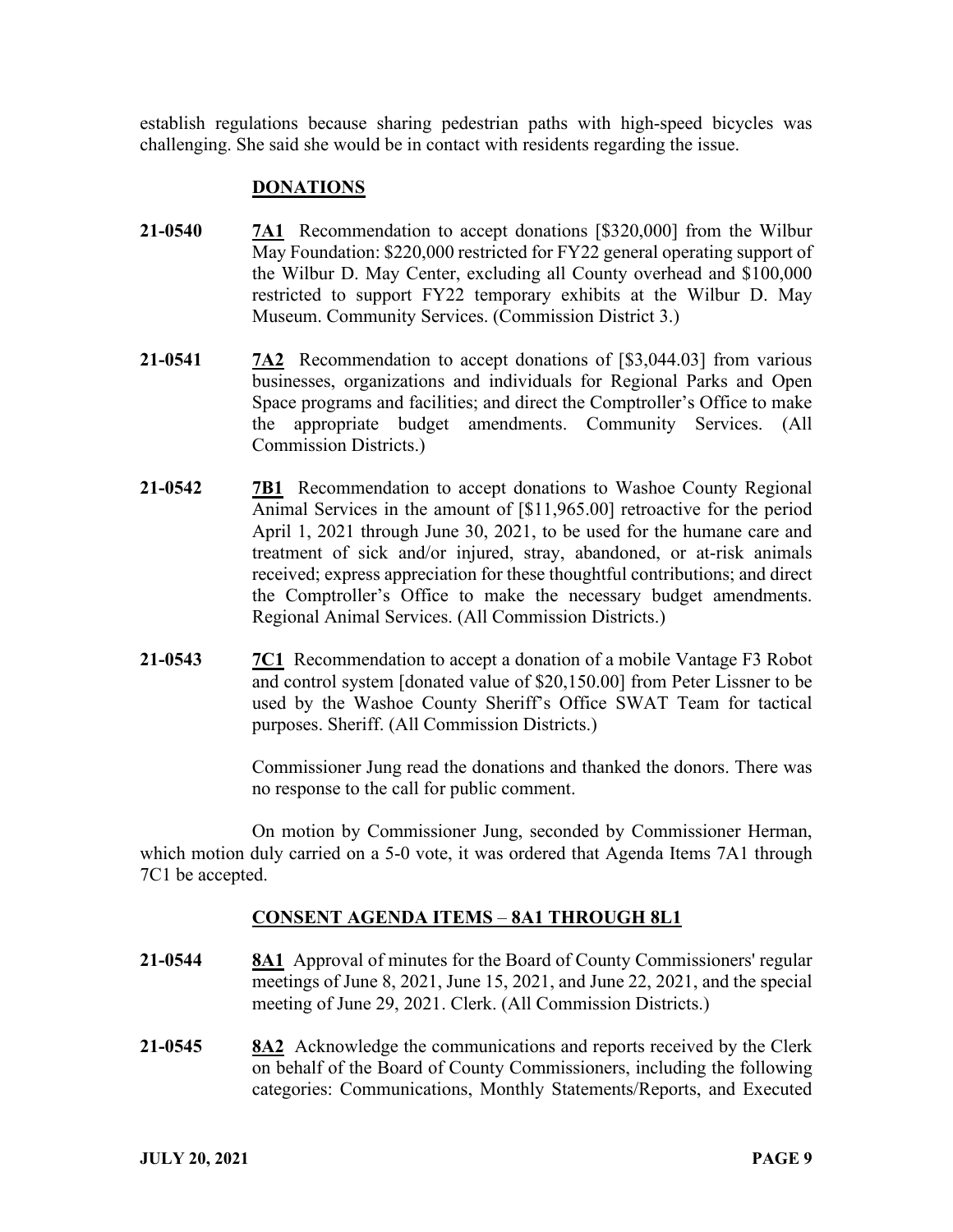establish regulations because sharing pedestrian paths with high-speed bicycles was challenging. She said she would be in contact with residents regarding the issue.

### **DONATIONS**

- **21-0540 7A1** Recommendation to accept donations [\$320,000] from the Wilbur May Foundation: \$220,000 restricted for FY22 general operating support of the Wilbur D. May Center, excluding all County overhead and \$100,000 restricted to support FY22 temporary exhibits at the Wilbur D. May Museum. Community Services. (Commission District 3.)
- **21-0541 7A2** Recommendation to accept donations of [\$3,044.03] from various businesses, organizations and individuals for Regional Parks and Open Space programs and facilities; and direct the Comptroller's Office to make the appropriate budget amendments. Community Services. (All Commission Districts.)
- **21-0542 7B1** Recommendation to accept donations to Washoe County Regional Animal Services in the amount of [\$11,965.00] retroactive for the period April 1, 2021 through June 30, 2021, to be used for the humane care and treatment of sick and/or injured, stray, abandoned, or at-risk animals received; express appreciation for these thoughtful contributions; and direct the Comptroller's Office to make the necessary budget amendments. Regional Animal Services. (All Commission Districts.)
- **21-0543 7C1** Recommendation to accept a donation of a mobile Vantage F3 Robot and control system [donated value of \$20,150.00] from Peter Lissner to be used by the Washoe County Sheriff's Office SWAT Team for tactical purposes. Sheriff. (All Commission Districts.)

Commissioner Jung read the donations and thanked the donors. There was no response to the call for public comment.

On motion by Commissioner Jung, seconded by Commissioner Herman, which motion duly carried on a 5-0 vote, it was ordered that Agenda Items 7A1 through 7C1 be accepted.

## **CONSENT AGENDA ITEMS** – **8A1 THROUGH 8L1**

- **21-0544 8A1** Approval of minutes for the Board of County Commissioners' regular meetings of June 8, 2021, June 15, 2021, and June 22, 2021, and the special meeting of June 29, 2021. Clerk. (All Commission Districts.)
- **21-0545 8A2** Acknowledge the communications and reports received by the Clerk on behalf of the Board of County Commissioners, including the following categories: Communications, Monthly Statements/Reports, and Executed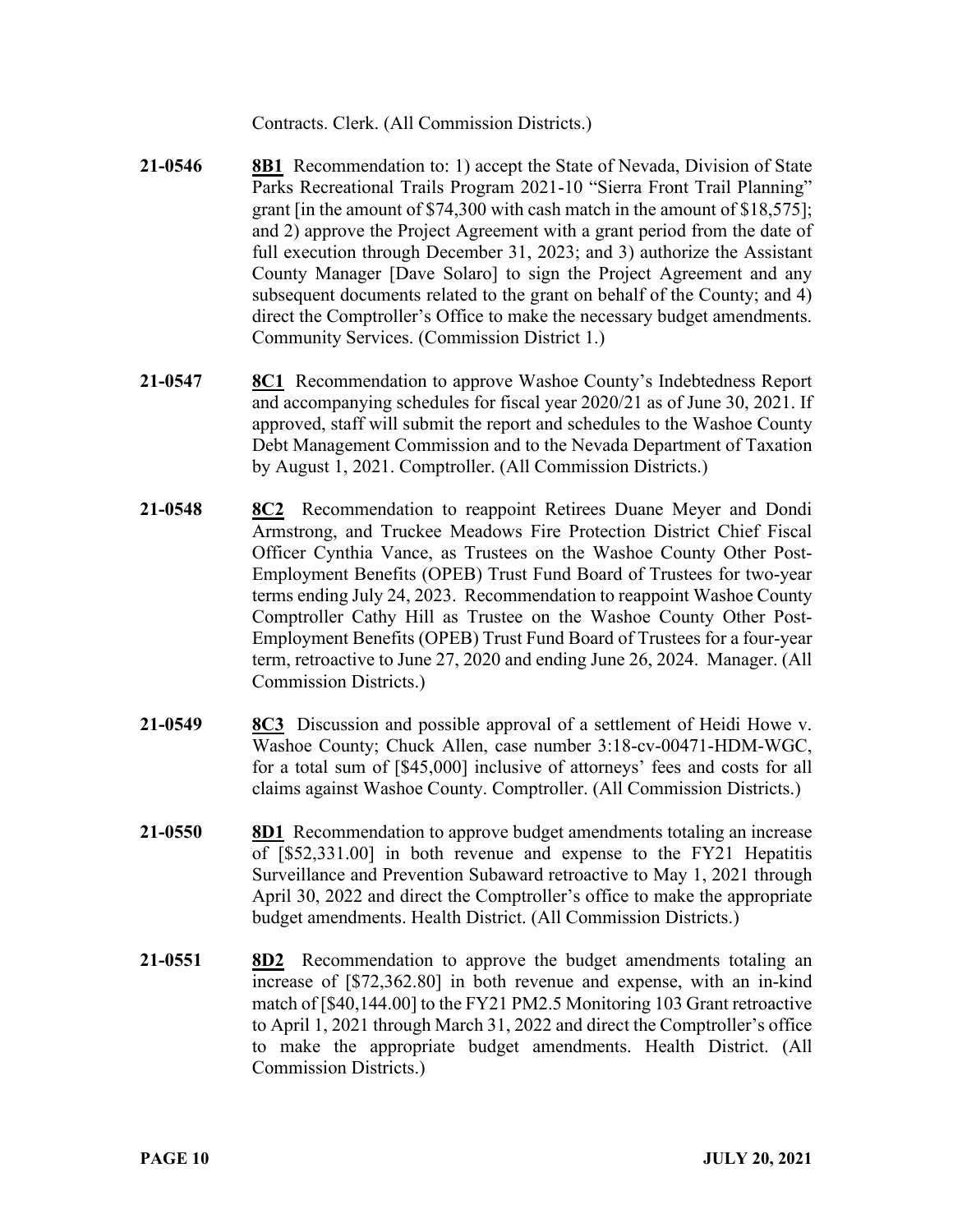Contracts. Clerk. (All Commission Districts.)

- **21-0546 8B1** Recommendation to: 1) accept the State of Nevada, Division of State Parks Recreational Trails Program 2021-10 "Sierra Front Trail Planning" grant [in the amount of \$74,300 with cash match in the amount of \$18,575]; and 2) approve the Project Agreement with a grant period from the date of full execution through December 31, 2023; and 3) authorize the Assistant County Manager [Dave Solaro] to sign the Project Agreement and any subsequent documents related to the grant on behalf of the County; and 4) direct the Comptroller's Office to make the necessary budget amendments. Community Services. (Commission District 1.)
- **21-0547 8C1** Recommendation to approve Washoe County's Indebtedness Report and accompanying schedules for fiscal year 2020/21 as of June 30, 2021. If approved, staff will submit the report and schedules to the Washoe County Debt Management Commission and to the Nevada Department of Taxation by August 1, 2021. Comptroller. (All Commission Districts.)
- **21-0548 8C2** Recommendation to reappoint Retirees Duane Meyer and Dondi Armstrong, and Truckee Meadows Fire Protection District Chief Fiscal Officer Cynthia Vance, as Trustees on the Washoe County Other Post-Employment Benefits (OPEB) Trust Fund Board of Trustees for two-year terms ending July 24, 2023. Recommendation to reappoint Washoe County Comptroller Cathy Hill as Trustee on the Washoe County Other Post-Employment Benefits (OPEB) Trust Fund Board of Trustees for a four-year term, retroactive to June 27, 2020 and ending June 26, 2024. Manager. (All Commission Districts.)
- **21-0549 8C3** Discussion and possible approval of a settlement of Heidi Howe v. Washoe County; Chuck Allen, case number 3:18-cv-00471-HDM-WGC, for a total sum of [\$45,000] inclusive of attorneys' fees and costs for all claims against Washoe County. Comptroller. (All Commission Districts.)
- **21-0550 8D1** Recommendation to approve budget amendments totaling an increase of [\$52,331.00] in both revenue and expense to the FY21 Hepatitis Surveillance and Prevention Subaward retroactive to May 1, 2021 through April 30, 2022 and direct the Comptroller's office to make the appropriate budget amendments. Health District. (All Commission Districts.)
- **21-0551 8D2** Recommendation to approve the budget amendments totaling an increase of [\$72,362.80] in both revenue and expense, with an in-kind match of [\$40,144.00] to the FY21 PM2.5 Monitoring 103 Grant retroactive to April 1, 2021 through March 31, 2022 and direct the Comptroller's office to make the appropriate budget amendments. Health District. (All Commission Districts.)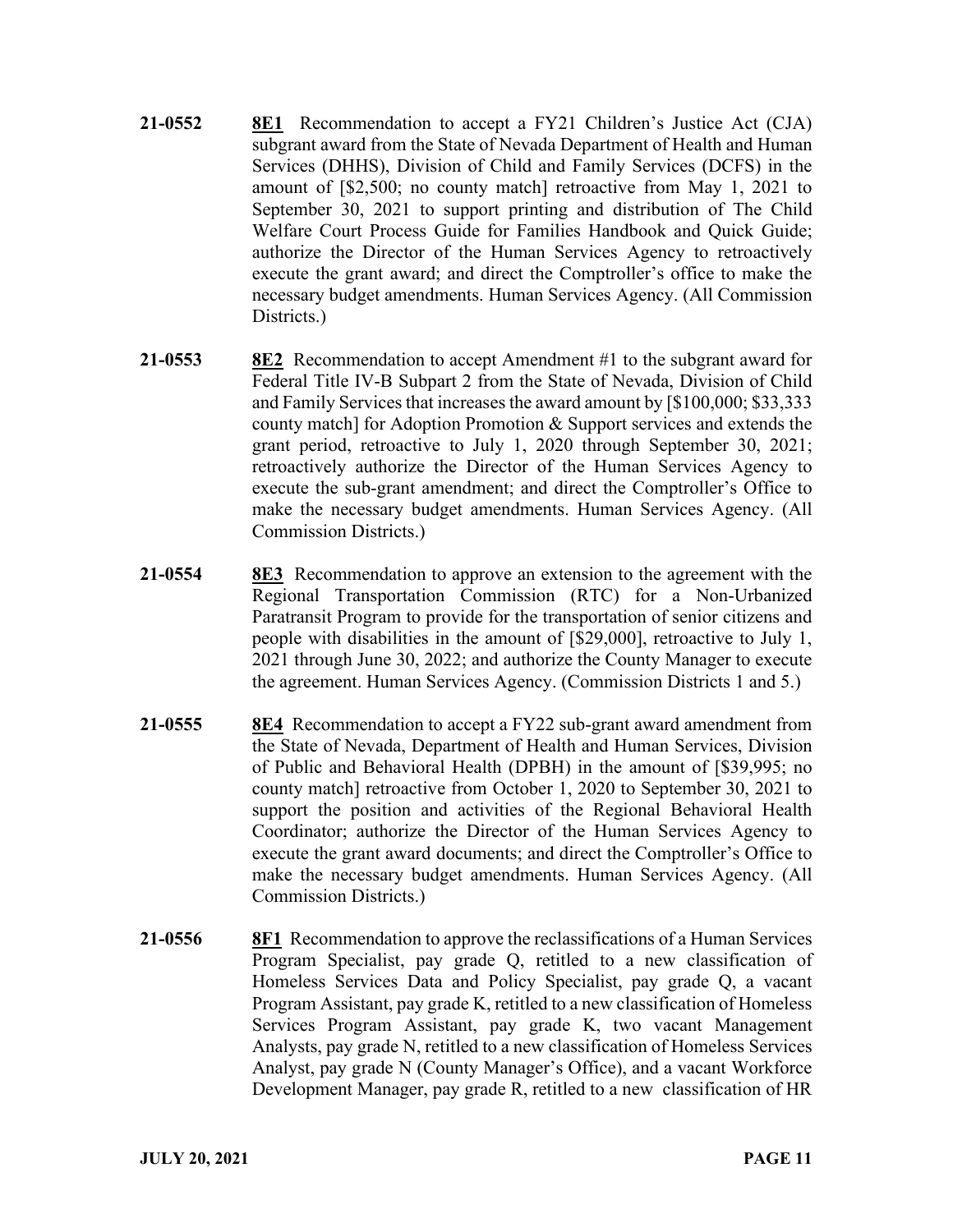- **21-0552 8E1** Recommendation to accept a FY21 Children's Justice Act (CJA) subgrant award from the State of Nevada Department of Health and Human Services (DHHS), Division of Child and Family Services (DCFS) in the amount of [\$2,500; no county match] retroactive from May 1, 2021 to September 30, 2021 to support printing and distribution of The Child Welfare Court Process Guide for Families Handbook and Quick Guide; authorize the Director of the Human Services Agency to retroactively execute the grant award; and direct the Comptroller's office to make the necessary budget amendments. Human Services Agency. (All Commission Districts.)
- **21-0553 8E2** Recommendation to accept Amendment #1 to the subgrant award for Federal Title IV-B Subpart 2 from the State of Nevada, Division of Child and Family Services that increases the award amount by [\$100,000; \$33,333 county match] for Adoption Promotion & Support services and extends the grant period, retroactive to July 1, 2020 through September 30, 2021; retroactively authorize the Director of the Human Services Agency to execute the sub-grant amendment; and direct the Comptroller's Office to make the necessary budget amendments. Human Services Agency. (All Commission Districts.)
- **21-0554 8E3** Recommendation to approve an extension to the agreement with the Regional Transportation Commission (RTC) for a Non-Urbanized Paratransit Program to provide for the transportation of senior citizens and people with disabilities in the amount of [\$29,000], retroactive to July 1, 2021 through June 30, 2022; and authorize the County Manager to execute the agreement. Human Services Agency. (Commission Districts 1 and 5.)
- **21-0555 8E4** Recommendation to accept a FY22 sub-grant award amendment from the State of Nevada, Department of Health and Human Services, Division of Public and Behavioral Health (DPBH) in the amount of [\$39,995; no county match] retroactive from October 1, 2020 to September 30, 2021 to support the position and activities of the Regional Behavioral Health Coordinator; authorize the Director of the Human Services Agency to execute the grant award documents; and direct the Comptroller's Office to make the necessary budget amendments. Human Services Agency. (All Commission Districts.)
- **21-0556 8F1** Recommendation to approve the reclassifications of a Human Services Program Specialist, pay grade Q, retitled to a new classification of Homeless Services Data and Policy Specialist, pay grade Q, a vacant Program Assistant, pay grade K, retitled to a new classification of Homeless Services Program Assistant, pay grade K, two vacant Management Analysts, pay grade N, retitled to a new classification of Homeless Services Analyst, pay grade N (County Manager's Office), and a vacant Workforce Development Manager, pay grade R, retitled to a new classification of HR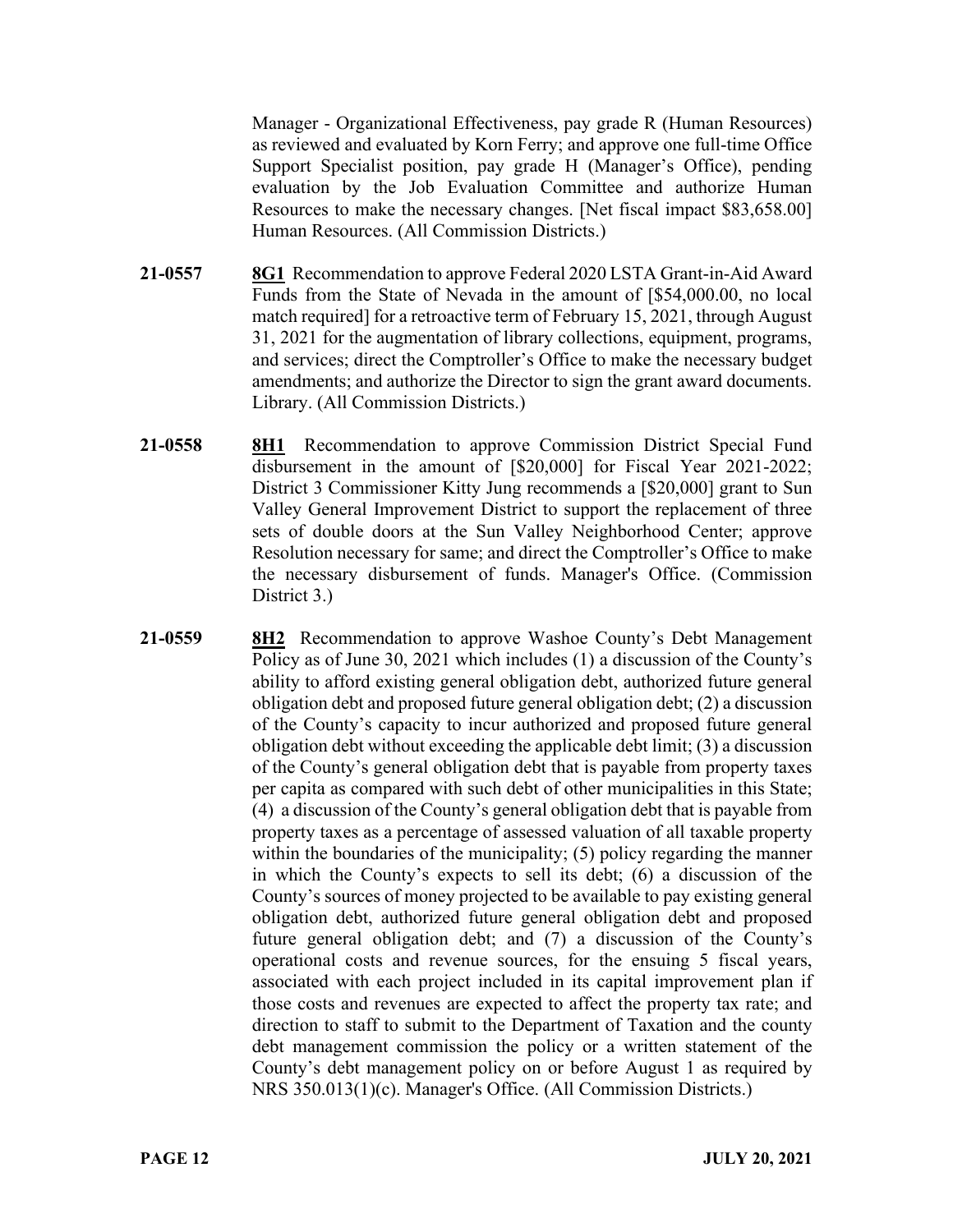Manager - Organizational Effectiveness, pay grade R (Human Resources) as reviewed and evaluated by Korn Ferry; and approve one full-time Office Support Specialist position, pay grade H (Manager's Office), pending evaluation by the Job Evaluation Committee and authorize Human Resources to make the necessary changes. [Net fiscal impact \$83,658.00] Human Resources. (All Commission Districts.)

- **21-0557 8G1** Recommendation to approve Federal 2020 LSTA Grant-in-Aid Award Funds from the State of Nevada in the amount of [\$54,000.00, no local match required] for a retroactive term of February 15, 2021, through August 31, 2021 for the augmentation of library collections, equipment, programs, and services; direct the Comptroller's Office to make the necessary budget amendments; and authorize the Director to sign the grant award documents. Library. (All Commission Districts.)
- **21-0558 8H1** Recommendation to approve Commission District Special Fund disbursement in the amount of [\$20,000] for Fiscal Year 2021-2022; District 3 Commissioner Kitty Jung recommends a [\$20,000] grant to Sun Valley General Improvement District to support the replacement of three sets of double doors at the Sun Valley Neighborhood Center; approve Resolution necessary for same; and direct the Comptroller's Office to make the necessary disbursement of funds. Manager's Office. (Commission District 3.)
- **21-0559 8H2** Recommendation to approve Washoe County's Debt Management Policy as of June 30, 2021 which includes (1) a discussion of the County's ability to afford existing general obligation debt, authorized future general obligation debt and proposed future general obligation debt; (2) a discussion of the County's capacity to incur authorized and proposed future general obligation debt without exceeding the applicable debt limit; (3) a discussion of the County's general obligation debt that is payable from property taxes per capita as compared with such debt of other municipalities in this State; (4) a discussion of the County's general obligation debt that is payable from property taxes as a percentage of assessed valuation of all taxable property within the boundaries of the municipality; (5) policy regarding the manner in which the County's expects to sell its debt; (6) a discussion of the County's sources of money projected to be available to pay existing general obligation debt, authorized future general obligation debt and proposed future general obligation debt; and (7) a discussion of the County's operational costs and revenue sources, for the ensuing 5 fiscal years, associated with each project included in its capital improvement plan if those costs and revenues are expected to affect the property tax rate; and direction to staff to submit to the Department of Taxation and the county debt management commission the policy or a written statement of the County's debt management policy on or before August 1 as required by NRS 350.013(1)(c). Manager's Office. (All Commission Districts.)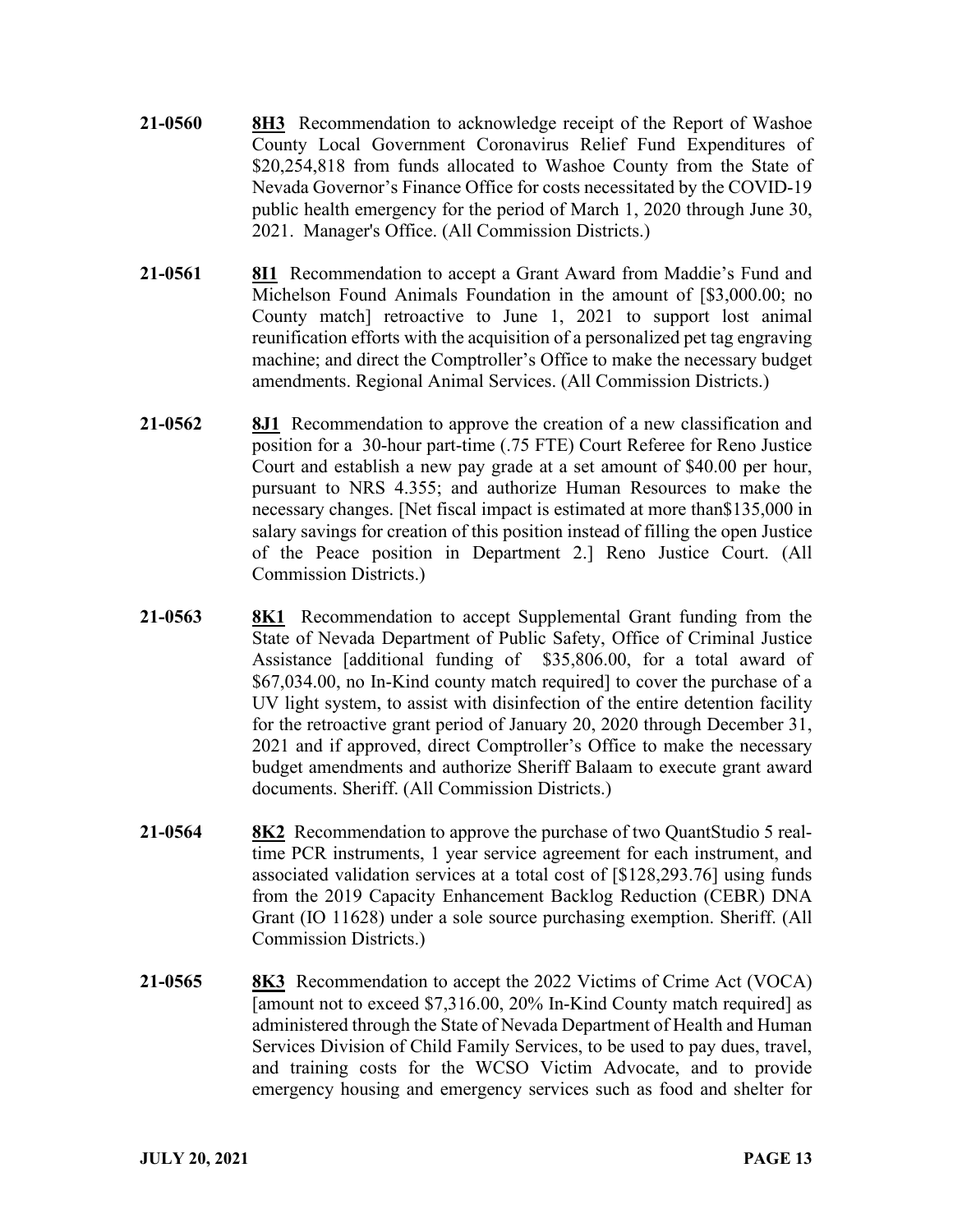- **21-0560 8H3** Recommendation to acknowledge receipt of the Report of Washoe County Local Government Coronavirus Relief Fund Expenditures of \$20,254,818 from funds allocated to Washoe County from the State of Nevada Governor's Finance Office for costs necessitated by the COVID-19 public health emergency for the period of March 1, 2020 through June 30, 2021. Manager's Office. (All Commission Districts.)
- **21-0561 8I1** Recommendation to accept a Grant Award from Maddie's Fund and Michelson Found Animals Foundation in the amount of [\$3,000.00; no County match] retroactive to June 1, 2021 to support lost animal reunification efforts with the acquisition of a personalized pet tag engraving machine; and direct the Comptroller's Office to make the necessary budget amendments. Regional Animal Services. (All Commission Districts.)
- **21-0562 8J1** Recommendation to approve the creation of a new classification and position for a 30-hour part-time (.75 FTE) Court Referee for Reno Justice Court and establish a new pay grade at a set amount of \$40.00 per hour, pursuant to NRS 4.355; and authorize Human Resources to make the necessary changes. [Net fiscal impact is estimated at more than\$135,000 in salary savings for creation of this position instead of filling the open Justice of the Peace position in Department 2.] Reno Justice Court. (All Commission Districts.)
- **21-0563 8K1** Recommendation to accept Supplemental Grant funding from the State of Nevada Department of Public Safety, Office of Criminal Justice Assistance [additional funding of \$35,806.00, for a total award of \$67,034.00, no In-Kind county match required] to cover the purchase of a UV light system, to assist with disinfection of the entire detention facility for the retroactive grant period of January 20, 2020 through December 31, 2021 and if approved, direct Comptroller's Office to make the necessary budget amendments and authorize Sheriff Balaam to execute grant award documents. Sheriff. (All Commission Districts.)
- **21-0564 8K2** Recommendation to approve the purchase of two QuantStudio 5 realtime PCR instruments, 1 year service agreement for each instrument, and associated validation services at a total cost of [\$128,293.76] using funds from the 2019 Capacity Enhancement Backlog Reduction (CEBR) DNA Grant (IO 11628) under a sole source purchasing exemption. Sheriff. (All Commission Districts.)
- **21-0565 8K3** Recommendation to accept the 2022 Victims of Crime Act (VOCA) [amount not to exceed \$7,316.00, 20% In-Kind County match required] as administered through the State of Nevada Department of Health and Human Services Division of Child Family Services, to be used to pay dues, travel, and training costs for the WCSO Victim Advocate, and to provide emergency housing and emergency services such as food and shelter for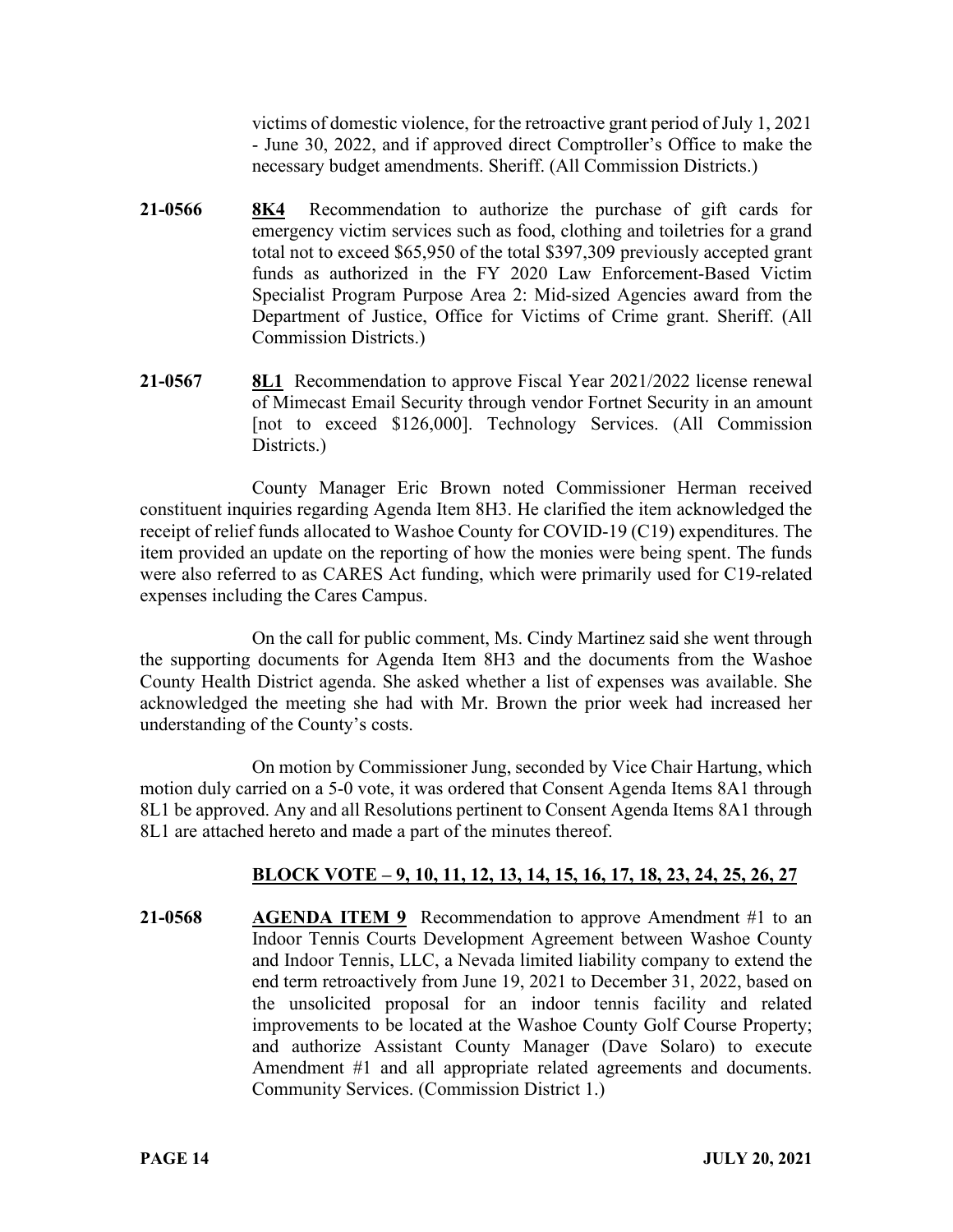victims of domestic violence, for the retroactive grant period of July 1, 2021 - June 30, 2022, and if approved direct Comptroller's Office to make the necessary budget amendments. Sheriff. (All Commission Districts.)

- **21-0566 8K4** Recommendation to authorize the purchase of gift cards for emergency victim services such as food, clothing and toiletries for a grand total not to exceed \$65,950 of the total \$397,309 previously accepted grant funds as authorized in the FY 2020 Law Enforcement-Based Victim Specialist Program Purpose Area 2: Mid-sized Agencies award from the Department of Justice, Office for Victims of Crime grant. Sheriff. (All Commission Districts.)
- **21-0567 8L1** Recommendation to approve Fiscal Year 2021/2022 license renewal of Mimecast Email Security through vendor Fortnet Security in an amount [not to exceed \$126,000]. Technology Services. (All Commission Districts.)

County Manager Eric Brown noted Commissioner Herman received constituent inquiries regarding Agenda Item 8H3. He clarified the item acknowledged the receipt of relief funds allocated to Washoe County for COVID-19 (C19) expenditures. The item provided an update on the reporting of how the monies were being spent. The funds were also referred to as CARES Act funding, which were primarily used for C19-related expenses including the Cares Campus.

On the call for public comment, Ms. Cindy Martinez said she went through the supporting documents for Agenda Item 8H3 and the documents from the Washoe County Health District agenda. She asked whether a list of expenses was available. She acknowledged the meeting she had with Mr. Brown the prior week had increased her understanding of the County's costs.

On motion by Commissioner Jung, seconded by Vice Chair Hartung, which motion duly carried on a 5-0 vote, it was ordered that Consent Agenda Items 8A1 through 8L1 be approved. Any and all Resolutions pertinent to Consent Agenda Items 8A1 through 8L1 are attached hereto and made a part of the minutes thereof.

# **BLOCK VOTE – 9, 10, 11, 12, 13, 14, 15, 16, 17, 18, 23, 24, 25, 26, 27**

**21-0568 AGENDA ITEM 9** Recommendation to approve Amendment #1 to an Indoor Tennis Courts Development Agreement between Washoe County and Indoor Tennis, LLC, a Nevada limited liability company to extend the end term retroactively from June 19, 2021 to December 31, 2022, based on the unsolicited proposal for an indoor tennis facility and related improvements to be located at the Washoe County Golf Course Property; and authorize Assistant County Manager (Dave Solaro) to execute Amendment #1 and all appropriate related agreements and documents. Community Services. (Commission District 1.)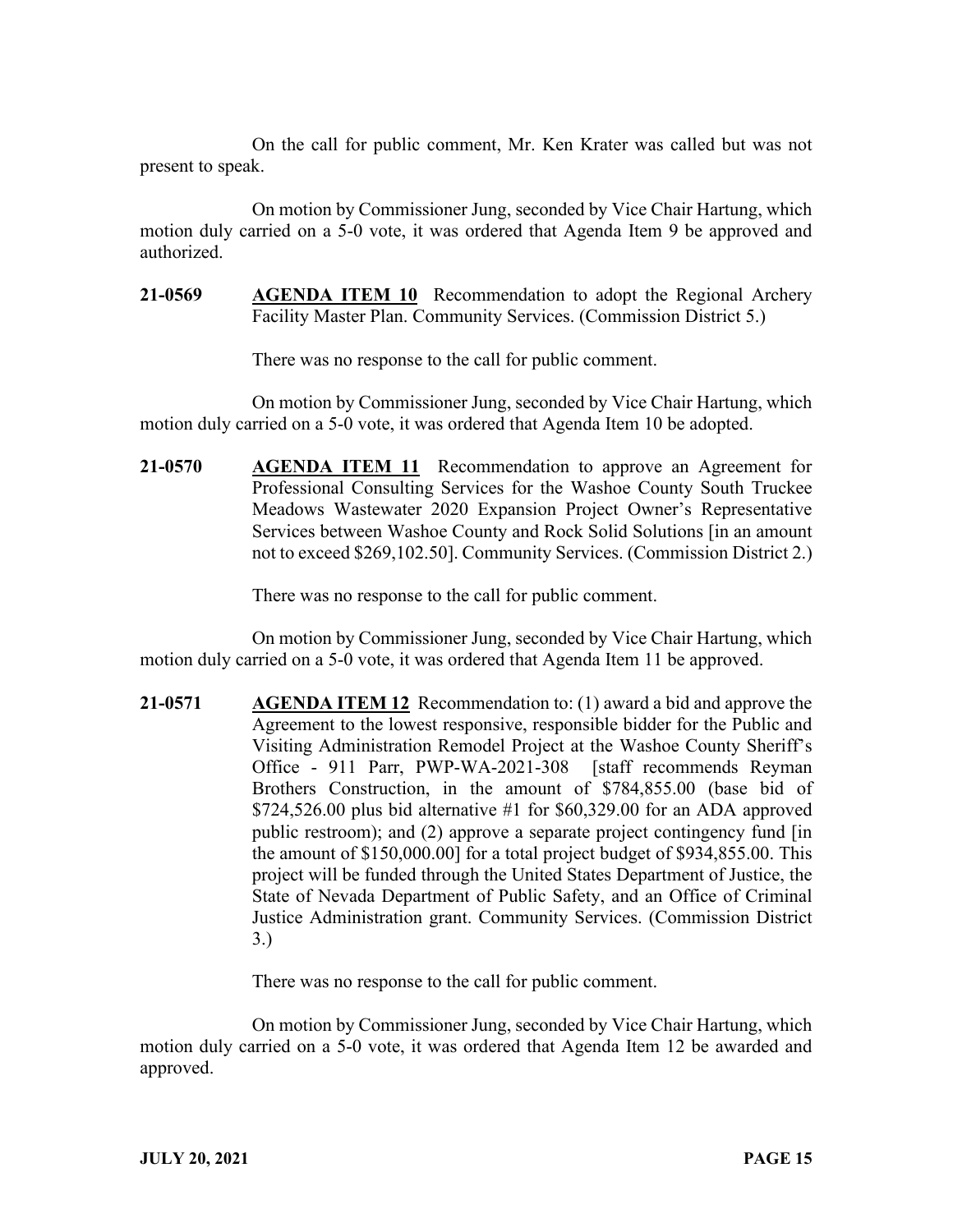On the call for public comment, Mr. Ken Krater was called but was not present to speak.

On motion by Commissioner Jung, seconded by Vice Chair Hartung, which motion duly carried on a 5-0 vote, it was ordered that Agenda Item 9 be approved and authorized.

**21-0569 AGENDA ITEM 10** Recommendation to adopt the Regional Archery Facility Master Plan. Community Services. (Commission District 5.)

There was no response to the call for public comment.

On motion by Commissioner Jung, seconded by Vice Chair Hartung, which motion duly carried on a 5-0 vote, it was ordered that Agenda Item 10 be adopted.

**21-0570 AGENDA ITEM 11** Recommendation to approve an Agreement for Professional Consulting Services for the Washoe County South Truckee Meadows Wastewater 2020 Expansion Project Owner's Representative Services between Washoe County and Rock Solid Solutions [in an amount not to exceed \$269,102.50]. Community Services. (Commission District 2.)

There was no response to the call for public comment.

On motion by Commissioner Jung, seconded by Vice Chair Hartung, which motion duly carried on a 5-0 vote, it was ordered that Agenda Item 11 be approved.

**21-0571 AGENDA ITEM 12** Recommendation to: (1) award a bid and approve the Agreement to the lowest responsive, responsible bidder for the Public and Visiting Administration Remodel Project at the Washoe County Sheriff's Office - 911 Parr, PWP-WA-2021-308 [staff recommends Reyman Brothers Construction, in the amount of \$784,855.00 (base bid of  $$724,526.00$  plus bid alternative #1 for  $$60,329.00$  for an ADA approved public restroom); and (2) approve a separate project contingency fund [in the amount of \$150,000.00] for a total project budget of \$934,855.00. This project will be funded through the United States Department of Justice, the State of Nevada Department of Public Safety, and an Office of Criminal Justice Administration grant. Community Services. (Commission District 3.)

There was no response to the call for public comment.

On motion by Commissioner Jung, seconded by Vice Chair Hartung, which motion duly carried on a 5-0 vote, it was ordered that Agenda Item 12 be awarded and approved.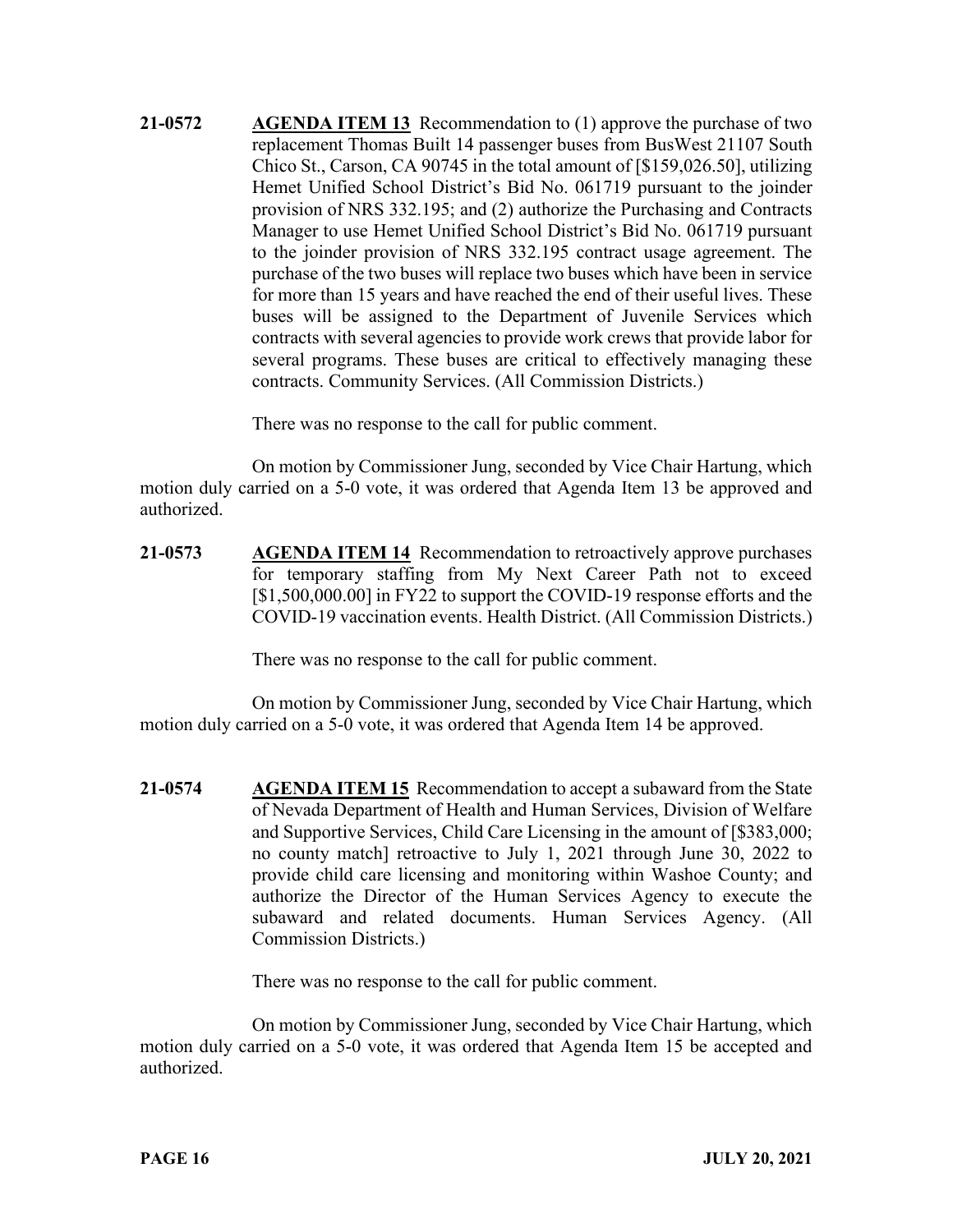**21-0572 AGENDA ITEM 13** Recommendation to (1) approve the purchase of two replacement Thomas Built 14 passenger buses from BusWest 21107 South Chico St., Carson, CA 90745 in the total amount of [\$159,026.50], utilizing Hemet Unified School District's Bid No. 061719 pursuant to the joinder provision of NRS 332.195; and (2) authorize the Purchasing and Contracts Manager to use Hemet Unified School District's Bid No. 061719 pursuant to the joinder provision of NRS 332.195 contract usage agreement. The purchase of the two buses will replace two buses which have been in service for more than 15 years and have reached the end of their useful lives. These buses will be assigned to the Department of Juvenile Services which contracts with several agencies to provide work crews that provide labor for several programs. These buses are critical to effectively managing these contracts. Community Services. (All Commission Districts.)

There was no response to the call for public comment.

On motion by Commissioner Jung, seconded by Vice Chair Hartung, which motion duly carried on a 5-0 vote, it was ordered that Agenda Item 13 be approved and authorized.

**21-0573 AGENDA ITEM 14** Recommendation to retroactively approve purchases for temporary staffing from My Next Career Path not to exceed [\$1,500,000.00] in FY22 to support the COVID-19 response efforts and the COVID-19 vaccination events. Health District. (All Commission Districts.)

There was no response to the call for public comment.

On motion by Commissioner Jung, seconded by Vice Chair Hartung, which motion duly carried on a 5-0 vote, it was ordered that Agenda Item 14 be approved.

**21-0574 AGENDA ITEM 15** Recommendation to accept a subaward from the State of Nevada Department of Health and Human Services, Division of Welfare and Supportive Services, Child Care Licensing in the amount of [\$383,000; no county match] retroactive to July 1, 2021 through June 30, 2022 to provide child care licensing and monitoring within Washoe County; and authorize the Director of the Human Services Agency to execute the subaward and related documents. Human Services Agency. (All Commission Districts.)

There was no response to the call for public comment.

On motion by Commissioner Jung, seconded by Vice Chair Hartung, which motion duly carried on a 5-0 vote, it was ordered that Agenda Item 15 be accepted and authorized.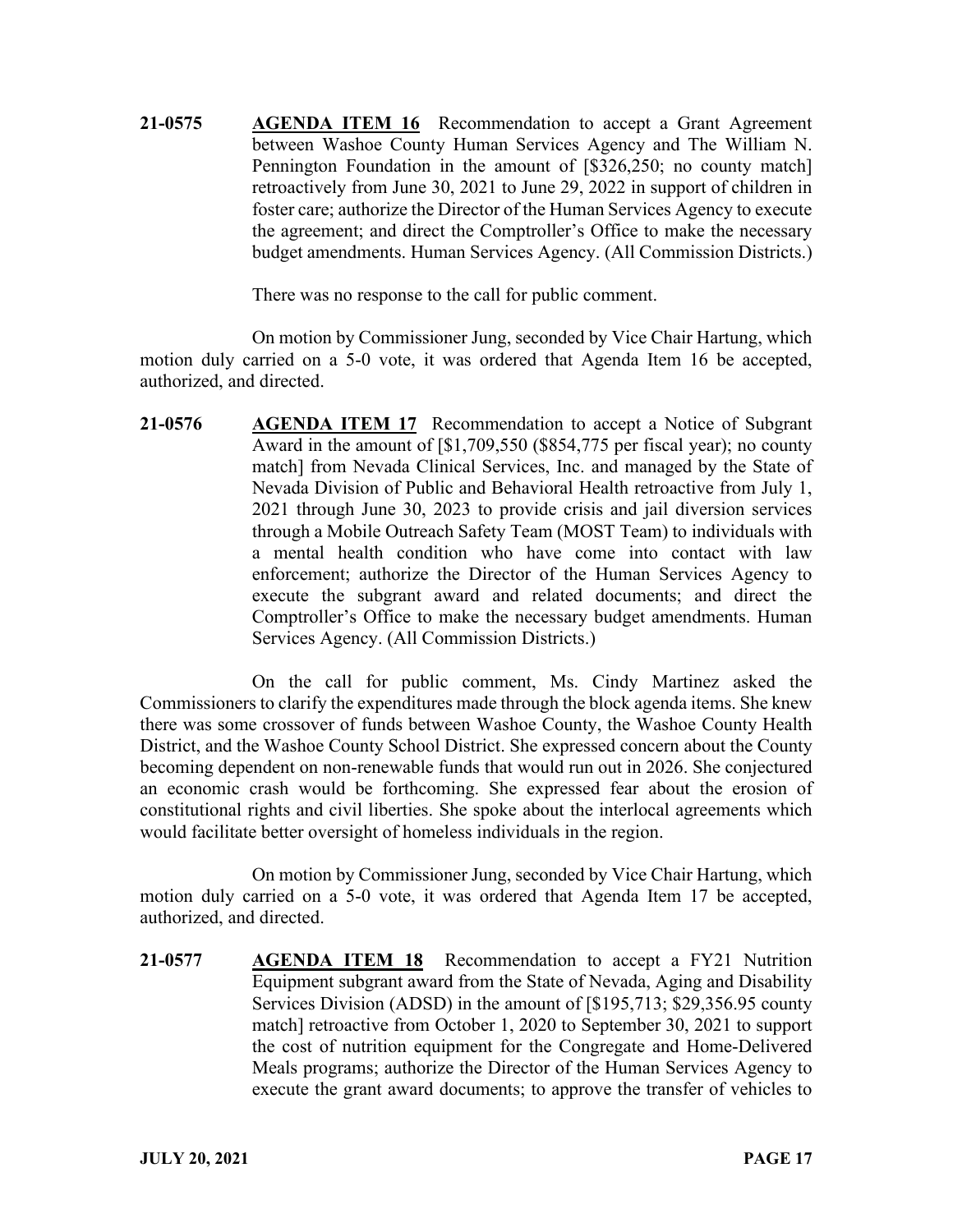**21-0575 AGENDA ITEM 16** Recommendation to accept a Grant Agreement between Washoe County Human Services Agency and The William N. Pennington Foundation in the amount of [\$326,250; no county match] retroactively from June 30, 2021 to June 29, 2022 in support of children in foster care; authorize the Director of the Human Services Agency to execute the agreement; and direct the Comptroller's Office to make the necessary budget amendments. Human Services Agency. (All Commission Districts.)

There was no response to the call for public comment.

On motion by Commissioner Jung, seconded by Vice Chair Hartung, which motion duly carried on a 5-0 vote, it was ordered that Agenda Item 16 be accepted, authorized, and directed.

**21-0576 AGENDA ITEM 17** Recommendation to accept a Notice of Subgrant Award in the amount of [\$1,709,550 (\$854,775 per fiscal year); no county match] from Nevada Clinical Services, Inc. and managed by the State of Nevada Division of Public and Behavioral Health retroactive from July 1, 2021 through June 30, 2023 to provide crisis and jail diversion services through a Mobile Outreach Safety Team (MOST Team) to individuals with a mental health condition who have come into contact with law enforcement; authorize the Director of the Human Services Agency to execute the subgrant award and related documents; and direct the Comptroller's Office to make the necessary budget amendments. Human Services Agency. (All Commission Districts.)

On the call for public comment, Ms. Cindy Martinez asked the Commissioners to clarify the expenditures made through the block agenda items. She knew there was some crossover of funds between Washoe County, the Washoe County Health District, and the Washoe County School District. She expressed concern about the County becoming dependent on non-renewable funds that would run out in 2026. She conjectured an economic crash would be forthcoming. She expressed fear about the erosion of constitutional rights and civil liberties. She spoke about the interlocal agreements which would facilitate better oversight of homeless individuals in the region.

On motion by Commissioner Jung, seconded by Vice Chair Hartung, which motion duly carried on a 5-0 vote, it was ordered that Agenda Item 17 be accepted, authorized, and directed.

**21-0577 AGENDA ITEM 18** Recommendation to accept a FY21 Nutrition Equipment subgrant award from the State of Nevada, Aging and Disability Services Division (ADSD) in the amount of [\$195,713; \$29,356.95 county match] retroactive from October 1, 2020 to September 30, 2021 to support the cost of nutrition equipment for the Congregate and Home-Delivered Meals programs; authorize the Director of the Human Services Agency to execute the grant award documents; to approve the transfer of vehicles to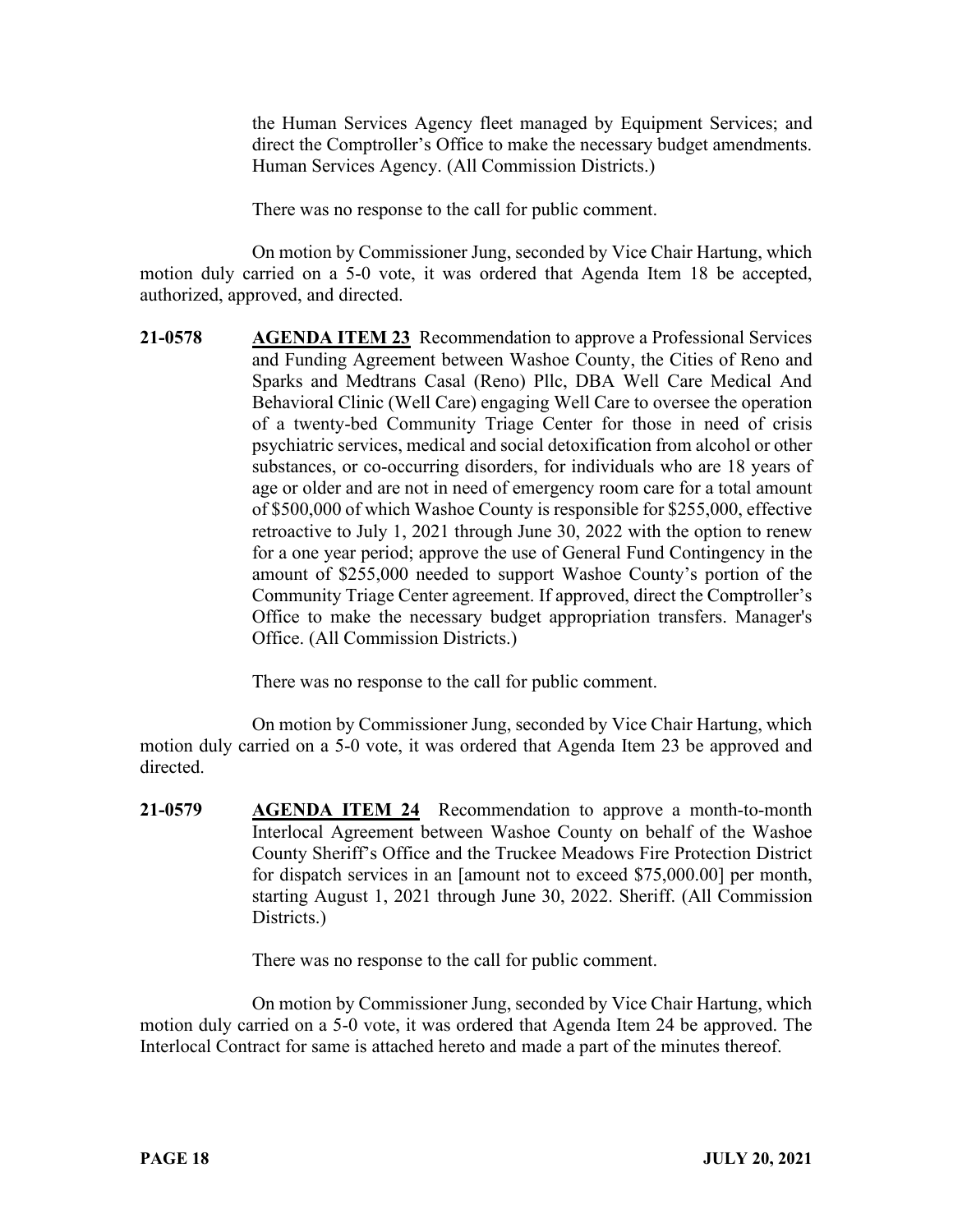the Human Services Agency fleet managed by Equipment Services; and direct the Comptroller's Office to make the necessary budget amendments. Human Services Agency. (All Commission Districts.)

There was no response to the call for public comment.

On motion by Commissioner Jung, seconded by Vice Chair Hartung, which motion duly carried on a 5-0 vote, it was ordered that Agenda Item 18 be accepted, authorized, approved, and directed.

**21-0578 AGENDA ITEM 23** Recommendation to approve a Professional Services and Funding Agreement between Washoe County, the Cities of Reno and Sparks and Medtrans Casal (Reno) Pllc, DBA Well Care Medical And Behavioral Clinic (Well Care) engaging Well Care to oversee the operation of a twenty-bed Community Triage Center for those in need of crisis psychiatric services, medical and social detoxification from alcohol or other substances, or co-occurring disorders, for individuals who are 18 years of age or older and are not in need of emergency room care for a total amount of \$500,000 of which Washoe County is responsible for \$255,000, effective retroactive to July 1, 2021 through June 30, 2022 with the option to renew for a one year period; approve the use of General Fund Contingency in the amount of \$255,000 needed to support Washoe County's portion of the Community Triage Center agreement. If approved, direct the Comptroller's Office to make the necessary budget appropriation transfers. Manager's Office. (All Commission Districts.)

There was no response to the call for public comment.

On motion by Commissioner Jung, seconded by Vice Chair Hartung, which motion duly carried on a 5-0 vote, it was ordered that Agenda Item 23 be approved and directed.

**21-0579 AGENDA ITEM 24** Recommendation to approve a month-to-month Interlocal Agreement between Washoe County on behalf of the Washoe County Sheriff's Office and the Truckee Meadows Fire Protection District for dispatch services in an [amount not to exceed \$75,000.00] per month, starting August 1, 2021 through June 30, 2022. Sheriff. (All Commission Districts.)

There was no response to the call for public comment.

On motion by Commissioner Jung, seconded by Vice Chair Hartung, which motion duly carried on a 5-0 vote, it was ordered that Agenda Item 24 be approved. The Interlocal Contract for same is attached hereto and made a part of the minutes thereof.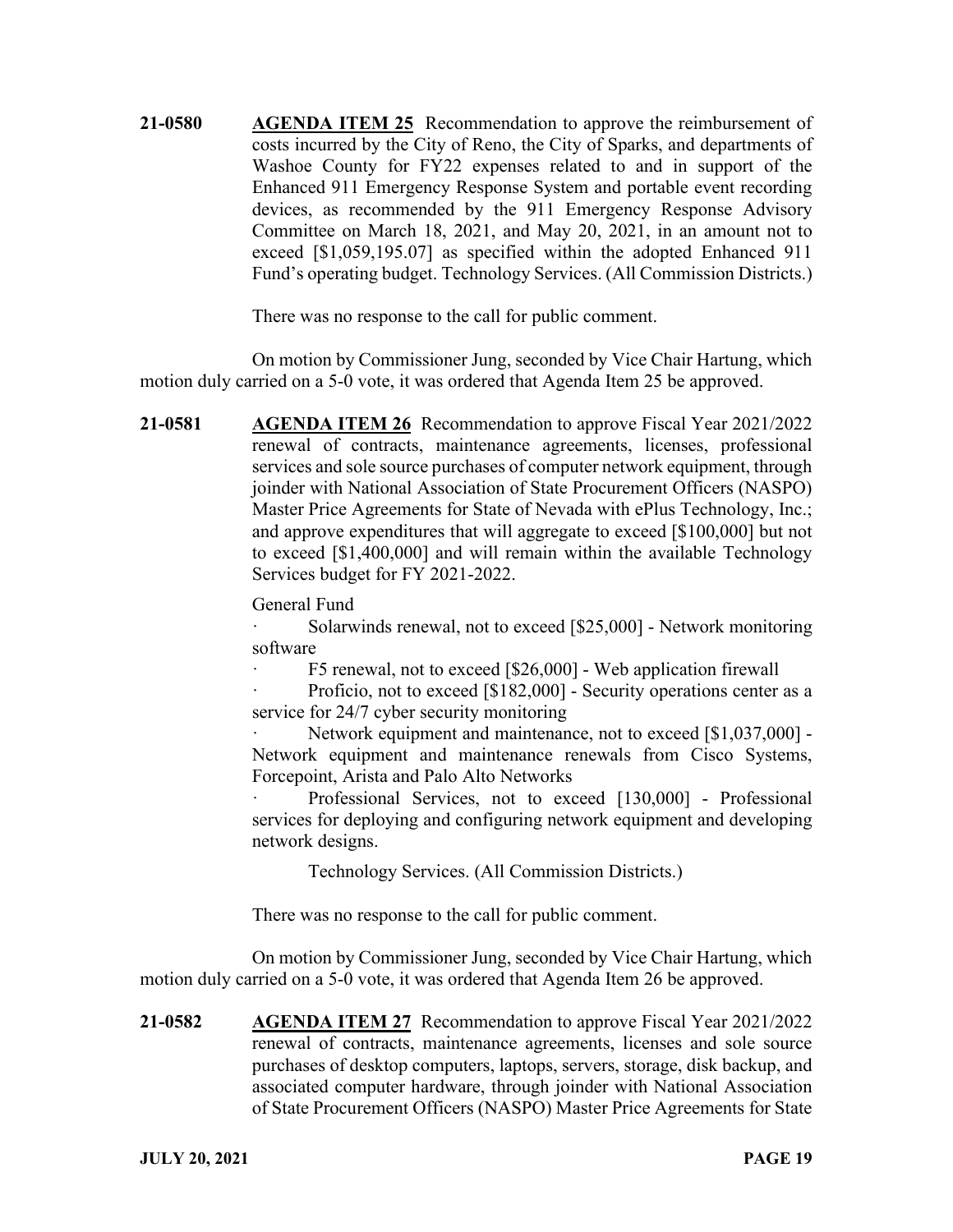**21-0580 AGENDA ITEM 25** Recommendation to approve the reimbursement of costs incurred by the City of Reno, the City of Sparks, and departments of Washoe County for FY22 expenses related to and in support of the Enhanced 911 Emergency Response System and portable event recording devices, as recommended by the 911 Emergency Response Advisory Committee on March 18, 2021, and May 20, 2021, in an amount not to exceed [\$1,059,195.07] as specified within the adopted Enhanced 911 Fund's operating budget. Technology Services. (All Commission Districts.)

There was no response to the call for public comment.

On motion by Commissioner Jung, seconded by Vice Chair Hartung, which motion duly carried on a 5-0 vote, it was ordered that Agenda Item 25 be approved.

**21-0581 AGENDA ITEM 26** Recommendation to approve Fiscal Year 2021/2022 renewal of contracts, maintenance agreements, licenses, professional services and sole source purchases of computer network equipment, through joinder with National Association of State Procurement Officers (NASPO) Master Price Agreements for State of Nevada with ePlus Technology, Inc.; and approve expenditures that will aggregate to exceed [\$100,000] but not to exceed [\$1,400,000] and will remain within the available Technology Services budget for FY 2021-2022.

General Fund

Solarwinds renewal, not to exceed [\$25,000] - Network monitoring software

F5 renewal, not to exceed [\$26,000] - Web application firewall

Proficio, not to exceed [\$182,000] - Security operations center as a service for 24/7 cyber security monitoring

Network equipment and maintenance, not to exceed [\$1,037,000] -Network equipment and maintenance renewals from Cisco Systems, Forcepoint, Arista and Palo Alto Networks

Professional Services, not to exceed [130,000] - Professional services for deploying and configuring network equipment and developing network designs.

Technology Services. (All Commission Districts.)

There was no response to the call for public comment.

On motion by Commissioner Jung, seconded by Vice Chair Hartung, which motion duly carried on a 5-0 vote, it was ordered that Agenda Item 26 be approved.

**21-0582 AGENDA ITEM 27** Recommendation to approve Fiscal Year 2021/2022 renewal of contracts, maintenance agreements, licenses and sole source purchases of desktop computers, laptops, servers, storage, disk backup, and associated computer hardware, through joinder with National Association of State Procurement Officers (NASPO) Master Price Agreements for State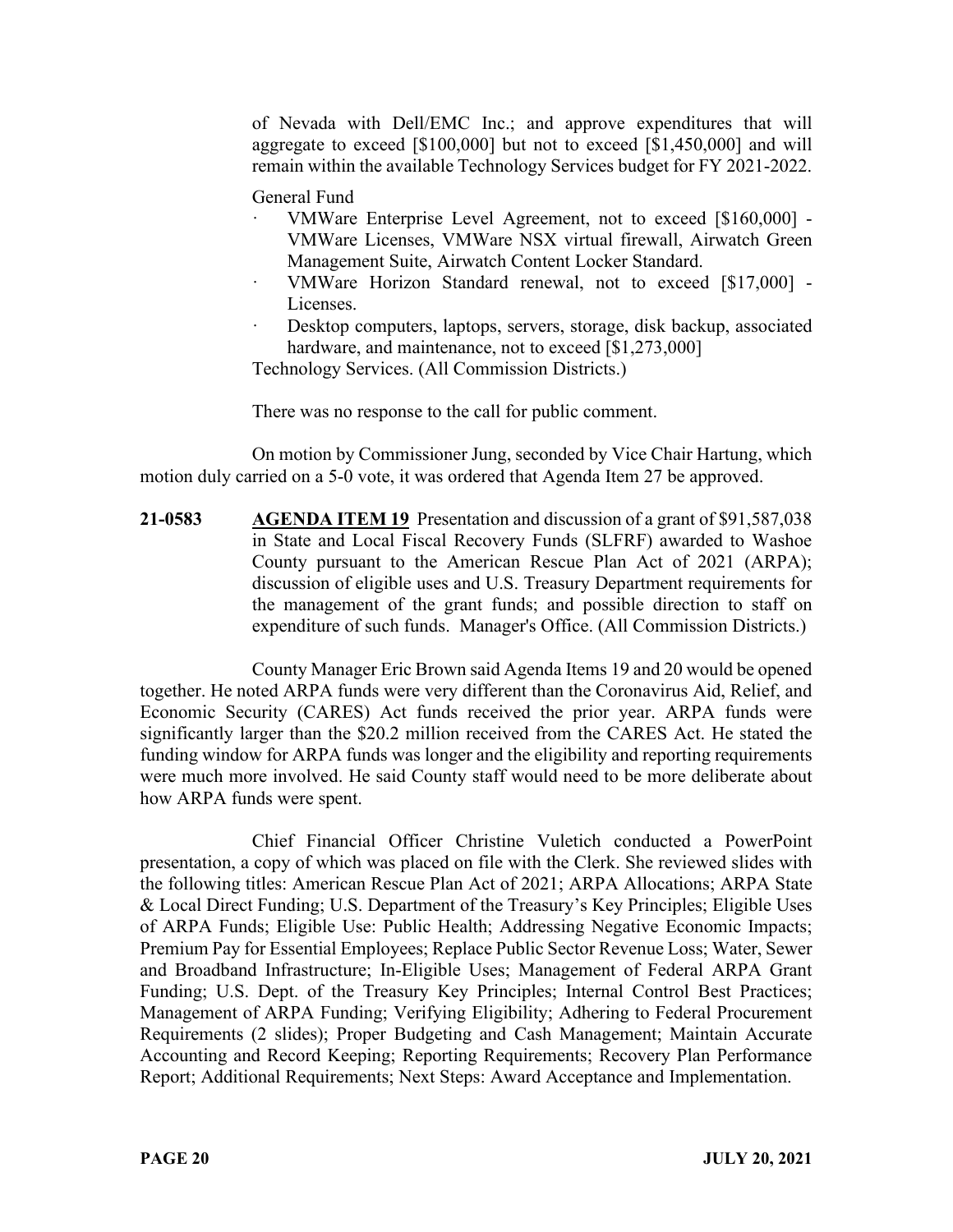of Nevada with Dell/EMC Inc.; and approve expenditures that will aggregate to exceed [\$100,000] but not to exceed [\$1,450,000] and will remain within the available Technology Services budget for FY 2021-2022.

General Fund

- · VMWare Enterprise Level Agreement, not to exceed [\$160,000] VMWare Licenses, VMWare NSX virtual firewall, Airwatch Green Management Suite, Airwatch Content Locker Standard.
- · VMWare Horizon Standard renewal, not to exceed [\$17,000] Licenses.
- Desktop computers, laptops, servers, storage, disk backup, associated hardware, and maintenance, not to exceed [\$1,273,000]

Technology Services. (All Commission Districts.)

There was no response to the call for public comment.

On motion by Commissioner Jung, seconded by Vice Chair Hartung, which motion duly carried on a 5-0 vote, it was ordered that Agenda Item 27 be approved.

**21-0583 AGENDA ITEM 19** Presentation and discussion of a grant of \$91,587,038 in State and Local Fiscal Recovery Funds (SLFRF) awarded to Washoe County pursuant to the American Rescue Plan Act of 2021 (ARPA); discussion of eligible uses and U.S. Treasury Department requirements for the management of the grant funds; and possible direction to staff on expenditure of such funds. Manager's Office. (All Commission Districts.)

County Manager Eric Brown said Agenda Items 19 and 20 would be opened together. He noted ARPA funds were very different than the Coronavirus Aid, Relief, and Economic Security (CARES) Act funds received the prior year. ARPA funds were significantly larger than the \$20.2 million received from the CARES Act. He stated the funding window for ARPA funds was longer and the eligibility and reporting requirements were much more involved. He said County staff would need to be more deliberate about how ARPA funds were spent.

Chief Financial Officer Christine Vuletich conducted a PowerPoint presentation, a copy of which was placed on file with the Clerk. She reviewed slides with the following titles: American Rescue Plan Act of 2021; ARPA Allocations; ARPA State & Local Direct Funding; U.S. Department of the Treasury's Key Principles; Eligible Uses of ARPA Funds; Eligible Use: Public Health; Addressing Negative Economic Impacts; Premium Pay for Essential Employees; Replace Public Sector Revenue Loss; Water, Sewer and Broadband Infrastructure; In-Eligible Uses; Management of Federal ARPA Grant Funding; U.S. Dept. of the Treasury Key Principles; Internal Control Best Practices; Management of ARPA Funding; Verifying Eligibility; Adhering to Federal Procurement Requirements (2 slides); Proper Budgeting and Cash Management; Maintain Accurate Accounting and Record Keeping; Reporting Requirements; Recovery Plan Performance Report; Additional Requirements; Next Steps: Award Acceptance and Implementation.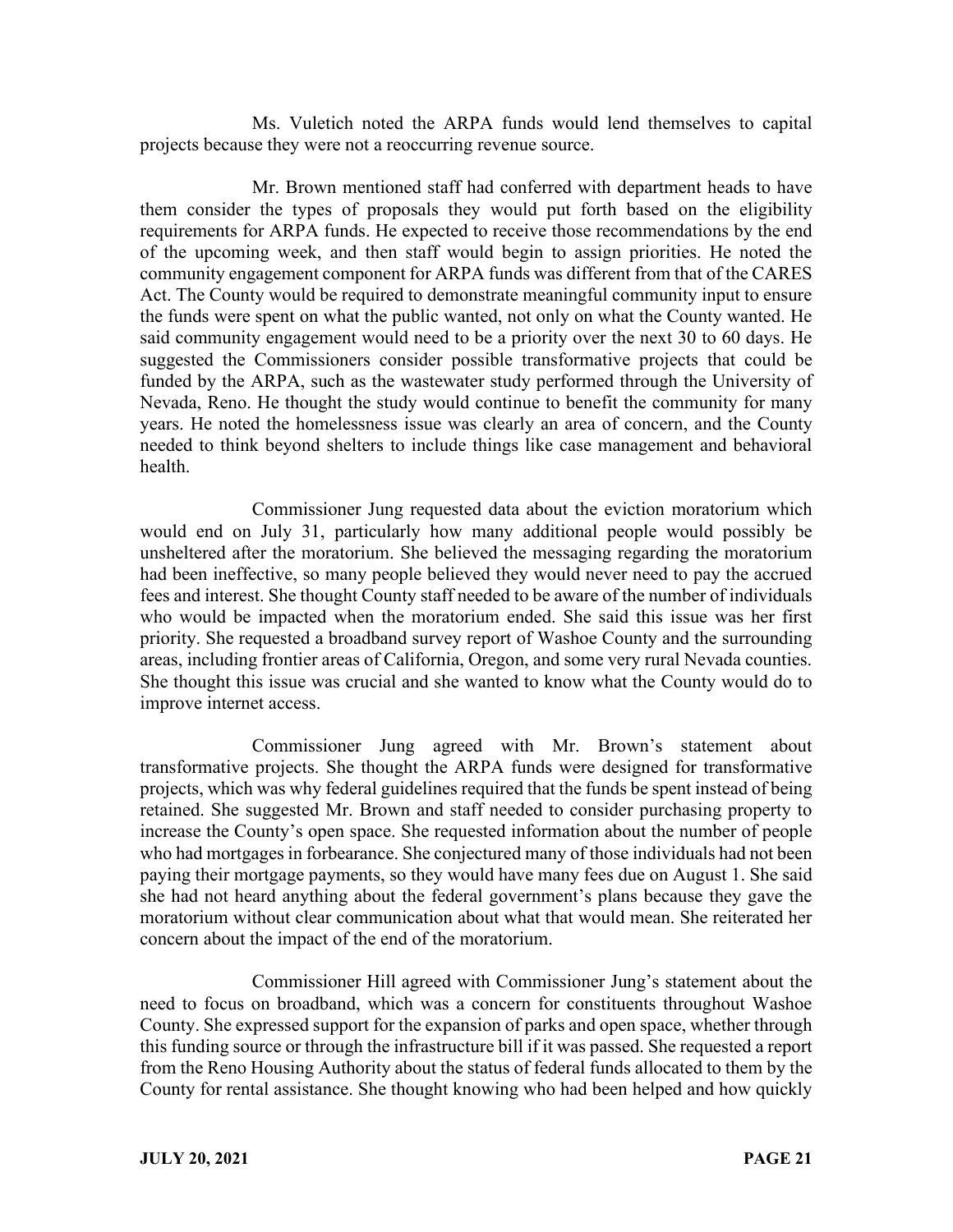Ms. Vuletich noted the ARPA funds would lend themselves to capital projects because they were not a reoccurring revenue source.

Mr. Brown mentioned staff had conferred with department heads to have them consider the types of proposals they would put forth based on the eligibility requirements for ARPA funds. He expected to receive those recommendations by the end of the upcoming week, and then staff would begin to assign priorities. He noted the community engagement component for ARPA funds was different from that of the CARES Act. The County would be required to demonstrate meaningful community input to ensure the funds were spent on what the public wanted, not only on what the County wanted. He said community engagement would need to be a priority over the next 30 to 60 days. He suggested the Commissioners consider possible transformative projects that could be funded by the ARPA, such as the wastewater study performed through the University of Nevada, Reno. He thought the study would continue to benefit the community for many years. He noted the homelessness issue was clearly an area of concern, and the County needed to think beyond shelters to include things like case management and behavioral health.

Commissioner Jung requested data about the eviction moratorium which would end on July 31, particularly how many additional people would possibly be unsheltered after the moratorium. She believed the messaging regarding the moratorium had been ineffective, so many people believed they would never need to pay the accrued fees and interest. She thought County staff needed to be aware of the number of individuals who would be impacted when the moratorium ended. She said this issue was her first priority. She requested a broadband survey report of Washoe County and the surrounding areas, including frontier areas of California, Oregon, and some very rural Nevada counties. She thought this issue was crucial and she wanted to know what the County would do to improve internet access.

Commissioner Jung agreed with Mr. Brown's statement about transformative projects. She thought the ARPA funds were designed for transformative projects, which was why federal guidelines required that the funds be spent instead of being retained. She suggested Mr. Brown and staff needed to consider purchasing property to increase the County's open space. She requested information about the number of people who had mortgages in forbearance. She conjectured many of those individuals had not been paying their mortgage payments, so they would have many fees due on August 1. She said she had not heard anything about the federal government's plans because they gave the moratorium without clear communication about what that would mean. She reiterated her concern about the impact of the end of the moratorium.

Commissioner Hill agreed with Commissioner Jung's statement about the need to focus on broadband, which was a concern for constituents throughout Washoe County. She expressed support for the expansion of parks and open space, whether through this funding source or through the infrastructure bill if it was passed. She requested a report from the Reno Housing Authority about the status of federal funds allocated to them by the County for rental assistance. She thought knowing who had been helped and how quickly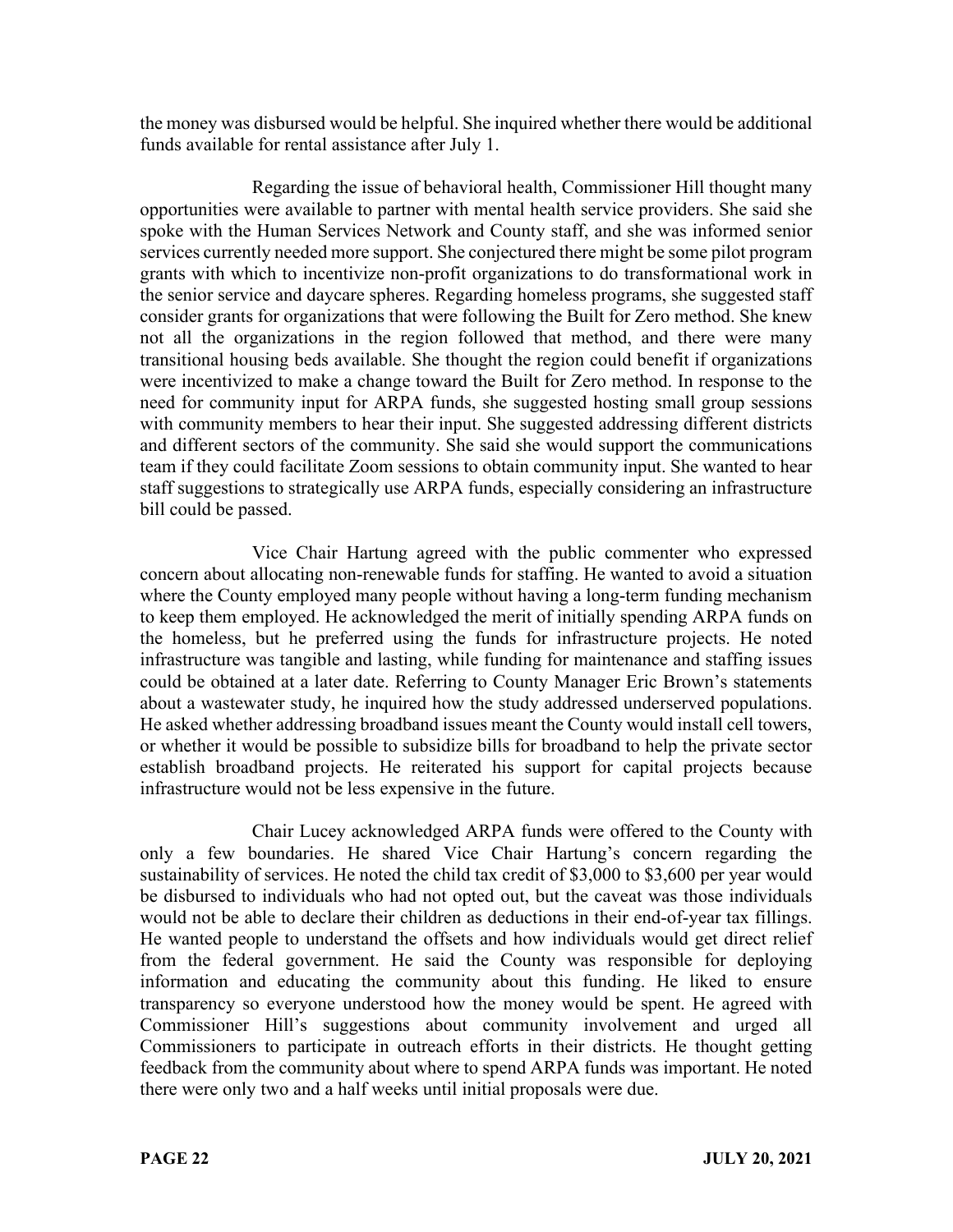the money was disbursed would be helpful. She inquired whether there would be additional funds available for rental assistance after July 1.

Regarding the issue of behavioral health, Commissioner Hill thought many opportunities were available to partner with mental health service providers. She said she spoke with the Human Services Network and County staff, and she was informed senior services currently needed more support. She conjectured there might be some pilot program grants with which to incentivize non-profit organizations to do transformational work in the senior service and daycare spheres. Regarding homeless programs, she suggested staff consider grants for organizations that were following the Built for Zero method. She knew not all the organizations in the region followed that method, and there were many transitional housing beds available. She thought the region could benefit if organizations were incentivized to make a change toward the Built for Zero method. In response to the need for community input for ARPA funds, she suggested hosting small group sessions with community members to hear their input. She suggested addressing different districts and different sectors of the community. She said she would support the communications team if they could facilitate Zoom sessions to obtain community input. She wanted to hear staff suggestions to strategically use ARPA funds, especially considering an infrastructure bill could be passed.

Vice Chair Hartung agreed with the public commenter who expressed concern about allocating non-renewable funds for staffing. He wanted to avoid a situation where the County employed many people without having a long-term funding mechanism to keep them employed. He acknowledged the merit of initially spending ARPA funds on the homeless, but he preferred using the funds for infrastructure projects. He noted infrastructure was tangible and lasting, while funding for maintenance and staffing issues could be obtained at a later date. Referring to County Manager Eric Brown's statements about a wastewater study, he inquired how the study addressed underserved populations. He asked whether addressing broadband issues meant the County would install cell towers, or whether it would be possible to subsidize bills for broadband to help the private sector establish broadband projects. He reiterated his support for capital projects because infrastructure would not be less expensive in the future.

Chair Lucey acknowledged ARPA funds were offered to the County with only a few boundaries. He shared Vice Chair Hartung's concern regarding the sustainability of services. He noted the child tax credit of \$3,000 to \$3,600 per year would be disbursed to individuals who had not opted out, but the caveat was those individuals would not be able to declare their children as deductions in their end-of-year tax fillings. He wanted people to understand the offsets and how individuals would get direct relief from the federal government. He said the County was responsible for deploying information and educating the community about this funding. He liked to ensure transparency so everyone understood how the money would be spent. He agreed with Commissioner Hill's suggestions about community involvement and urged all Commissioners to participate in outreach efforts in their districts. He thought getting feedback from the community about where to spend ARPA funds was important. He noted there were only two and a half weeks until initial proposals were due.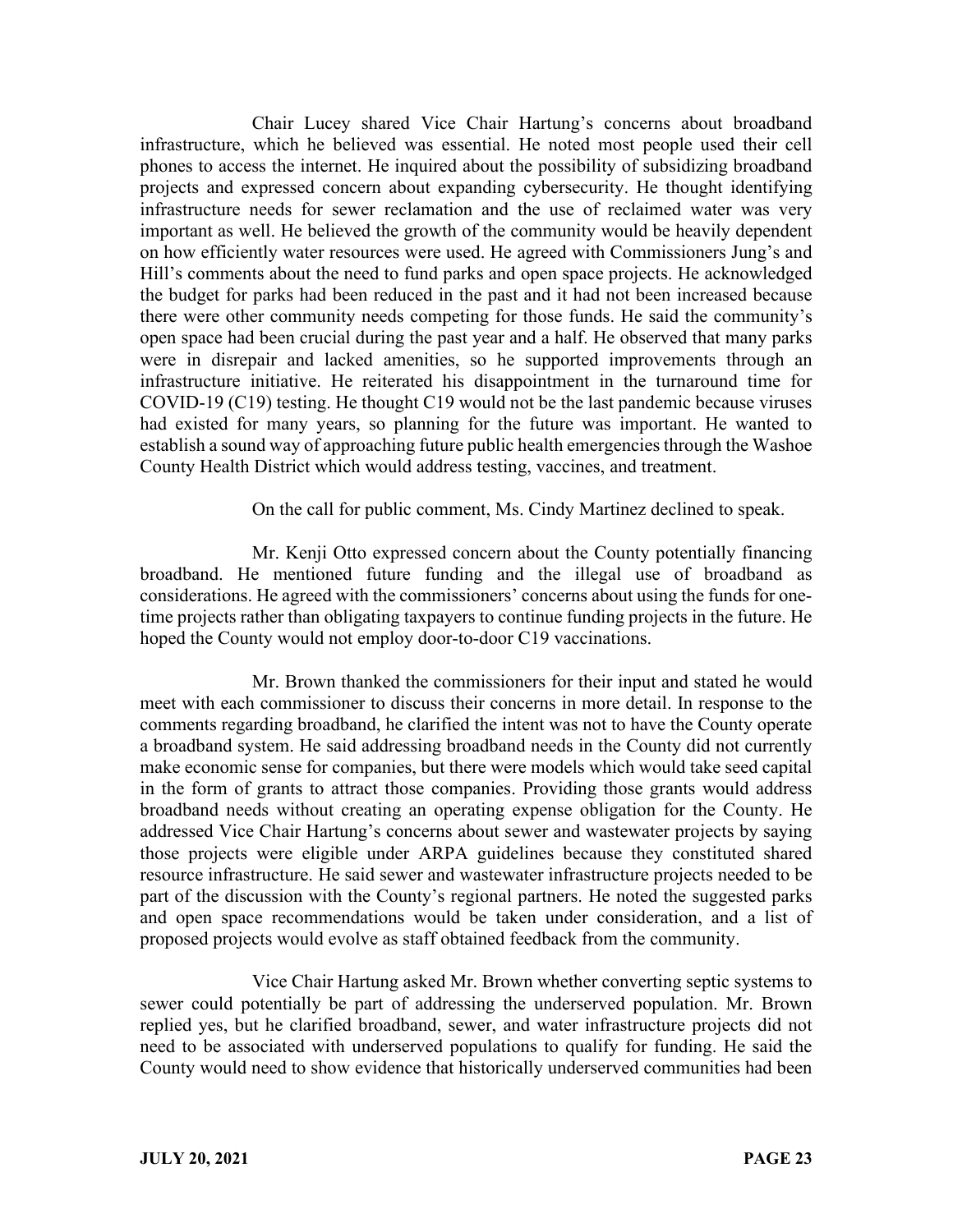Chair Lucey shared Vice Chair Hartung's concerns about broadband infrastructure, which he believed was essential. He noted most people used their cell phones to access the internet. He inquired about the possibility of subsidizing broadband projects and expressed concern about expanding cybersecurity. He thought identifying infrastructure needs for sewer reclamation and the use of reclaimed water was very important as well. He believed the growth of the community would be heavily dependent on how efficiently water resources were used. He agreed with Commissioners Jung's and Hill's comments about the need to fund parks and open space projects. He acknowledged the budget for parks had been reduced in the past and it had not been increased because there were other community needs competing for those funds. He said the community's open space had been crucial during the past year and a half. He observed that many parks were in disrepair and lacked amenities, so he supported improvements through an infrastructure initiative. He reiterated his disappointment in the turnaround time for COVID-19 (C19) testing. He thought C19 would not be the last pandemic because viruses had existed for many years, so planning for the future was important. He wanted to establish a sound way of approaching future public health emergencies through the Washoe County Health District which would address testing, vaccines, and treatment.

On the call for public comment, Ms. Cindy Martinez declined to speak.

Mr. Kenji Otto expressed concern about the County potentially financing broadband. He mentioned future funding and the illegal use of broadband as considerations. He agreed with the commissioners' concerns about using the funds for onetime projects rather than obligating taxpayers to continue funding projects in the future. He hoped the County would not employ door-to-door C19 vaccinations.

Mr. Brown thanked the commissioners for their input and stated he would meet with each commissioner to discuss their concerns in more detail. In response to the comments regarding broadband, he clarified the intent was not to have the County operate a broadband system. He said addressing broadband needs in the County did not currently make economic sense for companies, but there were models which would take seed capital in the form of grants to attract those companies. Providing those grants would address broadband needs without creating an operating expense obligation for the County. He addressed Vice Chair Hartung's concerns about sewer and wastewater projects by saying those projects were eligible under ARPA guidelines because they constituted shared resource infrastructure. He said sewer and wastewater infrastructure projects needed to be part of the discussion with the County's regional partners. He noted the suggested parks and open space recommendations would be taken under consideration, and a list of proposed projects would evolve as staff obtained feedback from the community.

Vice Chair Hartung asked Mr. Brown whether converting septic systems to sewer could potentially be part of addressing the underserved population. Mr. Brown replied yes, but he clarified broadband, sewer, and water infrastructure projects did not need to be associated with underserved populations to qualify for funding. He said the County would need to show evidence that historically underserved communities had been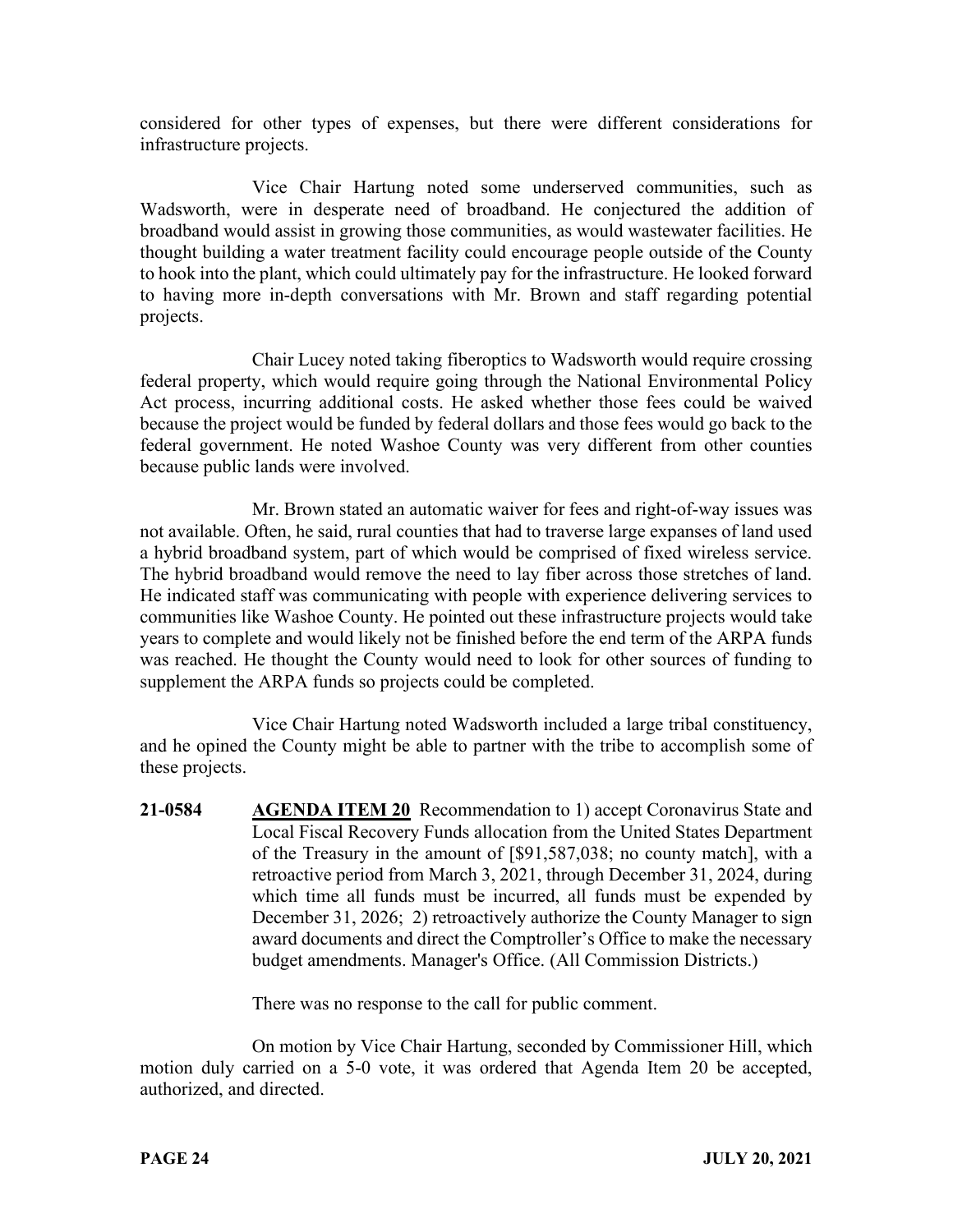considered for other types of expenses, but there were different considerations for infrastructure projects.

Vice Chair Hartung noted some underserved communities, such as Wadsworth, were in desperate need of broadband. He conjectured the addition of broadband would assist in growing those communities, as would wastewater facilities. He thought building a water treatment facility could encourage people outside of the County to hook into the plant, which could ultimately pay for the infrastructure. He looked forward to having more in-depth conversations with Mr. Brown and staff regarding potential projects.

Chair Lucey noted taking fiberoptics to Wadsworth would require crossing federal property, which would require going through the National Environmental Policy Act process, incurring additional costs. He asked whether those fees could be waived because the project would be funded by federal dollars and those fees would go back to the federal government. He noted Washoe County was very different from other counties because public lands were involved.

Mr. Brown stated an automatic waiver for fees and right-of-way issues was not available. Often, he said, rural counties that had to traverse large expanses of land used a hybrid broadband system, part of which would be comprised of fixed wireless service. The hybrid broadband would remove the need to lay fiber across those stretches of land. He indicated staff was communicating with people with experience delivering services to communities like Washoe County. He pointed out these infrastructure projects would take years to complete and would likely not be finished before the end term of the ARPA funds was reached. He thought the County would need to look for other sources of funding to supplement the ARPA funds so projects could be completed.

Vice Chair Hartung noted Wadsworth included a large tribal constituency, and he opined the County might be able to partner with the tribe to accomplish some of these projects.

**21-0584 AGENDA ITEM 20** Recommendation to 1) accept Coronavirus State and Local Fiscal Recovery Funds allocation from the United States Department of the Treasury in the amount of [\$91,587,038; no county match], with a retroactive period from March 3, 2021, through December 31, 2024, during which time all funds must be incurred, all funds must be expended by December 31, 2026; 2) retroactively authorize the County Manager to sign award documents and direct the Comptroller's Office to make the necessary budget amendments. Manager's Office. (All Commission Districts.)

There was no response to the call for public comment.

On motion by Vice Chair Hartung, seconded by Commissioner Hill, which motion duly carried on a 5-0 vote, it was ordered that Agenda Item 20 be accepted, authorized, and directed.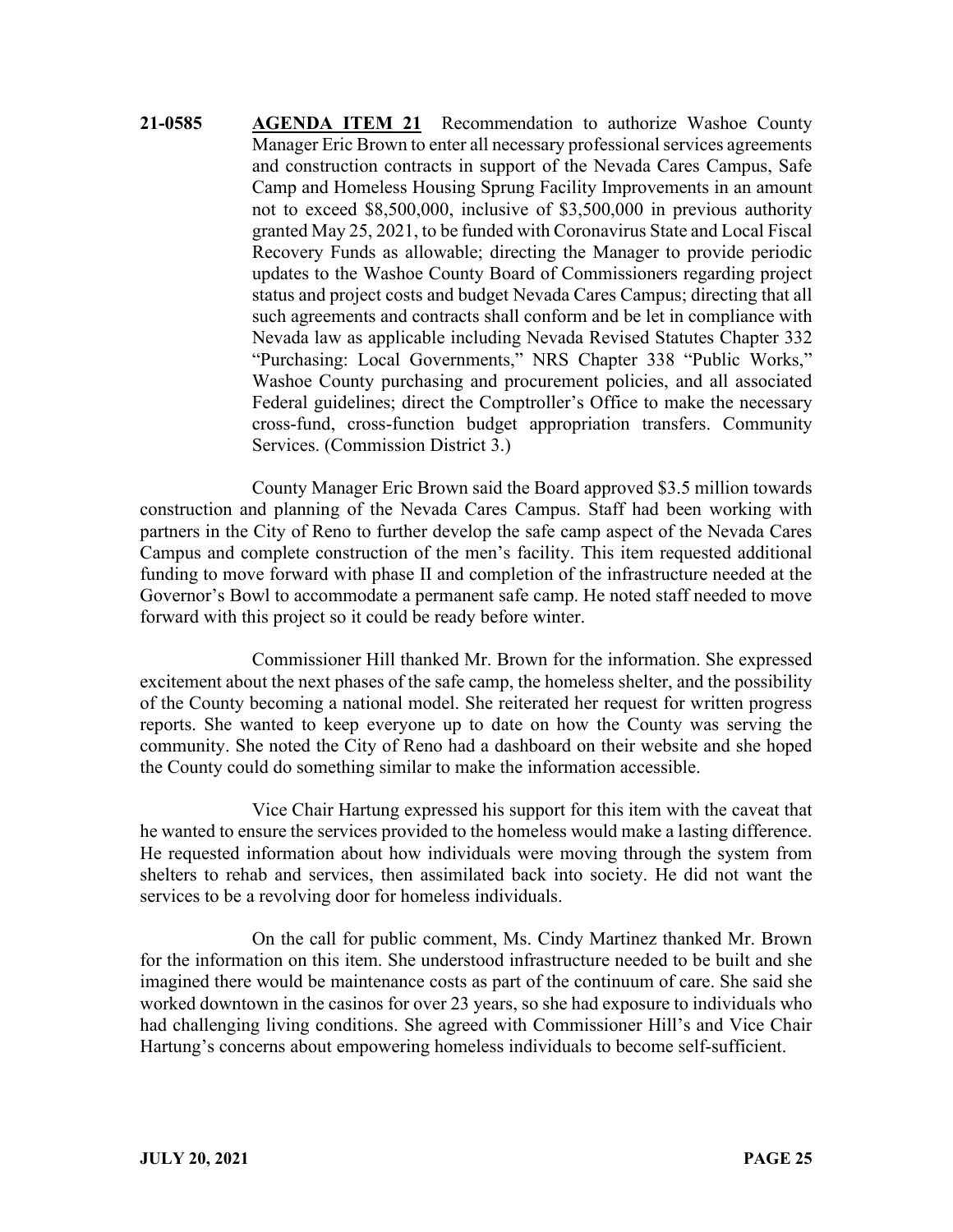**21-0585 AGENDA ITEM 21** Recommendation to authorize Washoe County Manager Eric Brown to enter all necessary professional services agreements and construction contracts in support of the Nevada Cares Campus, Safe Camp and Homeless Housing Sprung Facility Improvements in an amount not to exceed \$8,500,000, inclusive of \$3,500,000 in previous authority granted May 25, 2021, to be funded with Coronavirus State and Local Fiscal Recovery Funds as allowable; directing the Manager to provide periodic updates to the Washoe County Board of Commissioners regarding project status and project costs and budget Nevada Cares Campus; directing that all such agreements and contracts shall conform and be let in compliance with Nevada law as applicable including Nevada Revised Statutes Chapter 332 "Purchasing: Local Governments," NRS Chapter 338 "Public Works," Washoe County purchasing and procurement policies, and all associated Federal guidelines; direct the Comptroller's Office to make the necessary cross-fund, cross-function budget appropriation transfers. Community Services. (Commission District 3.)

County Manager Eric Brown said the Board approved \$3.5 million towards construction and planning of the Nevada Cares Campus. Staff had been working with partners in the City of Reno to further develop the safe camp aspect of the Nevada Cares Campus and complete construction of the men's facility. This item requested additional funding to move forward with phase II and completion of the infrastructure needed at the Governor's Bowl to accommodate a permanent safe camp. He noted staff needed to move forward with this project so it could be ready before winter.

Commissioner Hill thanked Mr. Brown for the information. She expressed excitement about the next phases of the safe camp, the homeless shelter, and the possibility of the County becoming a national model. She reiterated her request for written progress reports. She wanted to keep everyone up to date on how the County was serving the community. She noted the City of Reno had a dashboard on their website and she hoped the County could do something similar to make the information accessible.

Vice Chair Hartung expressed his support for this item with the caveat that he wanted to ensure the services provided to the homeless would make a lasting difference. He requested information about how individuals were moving through the system from shelters to rehab and services, then assimilated back into society. He did not want the services to be a revolving door for homeless individuals.

On the call for public comment, Ms. Cindy Martinez thanked Mr. Brown for the information on this item. She understood infrastructure needed to be built and she imagined there would be maintenance costs as part of the continuum of care. She said she worked downtown in the casinos for over 23 years, so she had exposure to individuals who had challenging living conditions. She agreed with Commissioner Hill's and Vice Chair Hartung's concerns about empowering homeless individuals to become self-sufficient.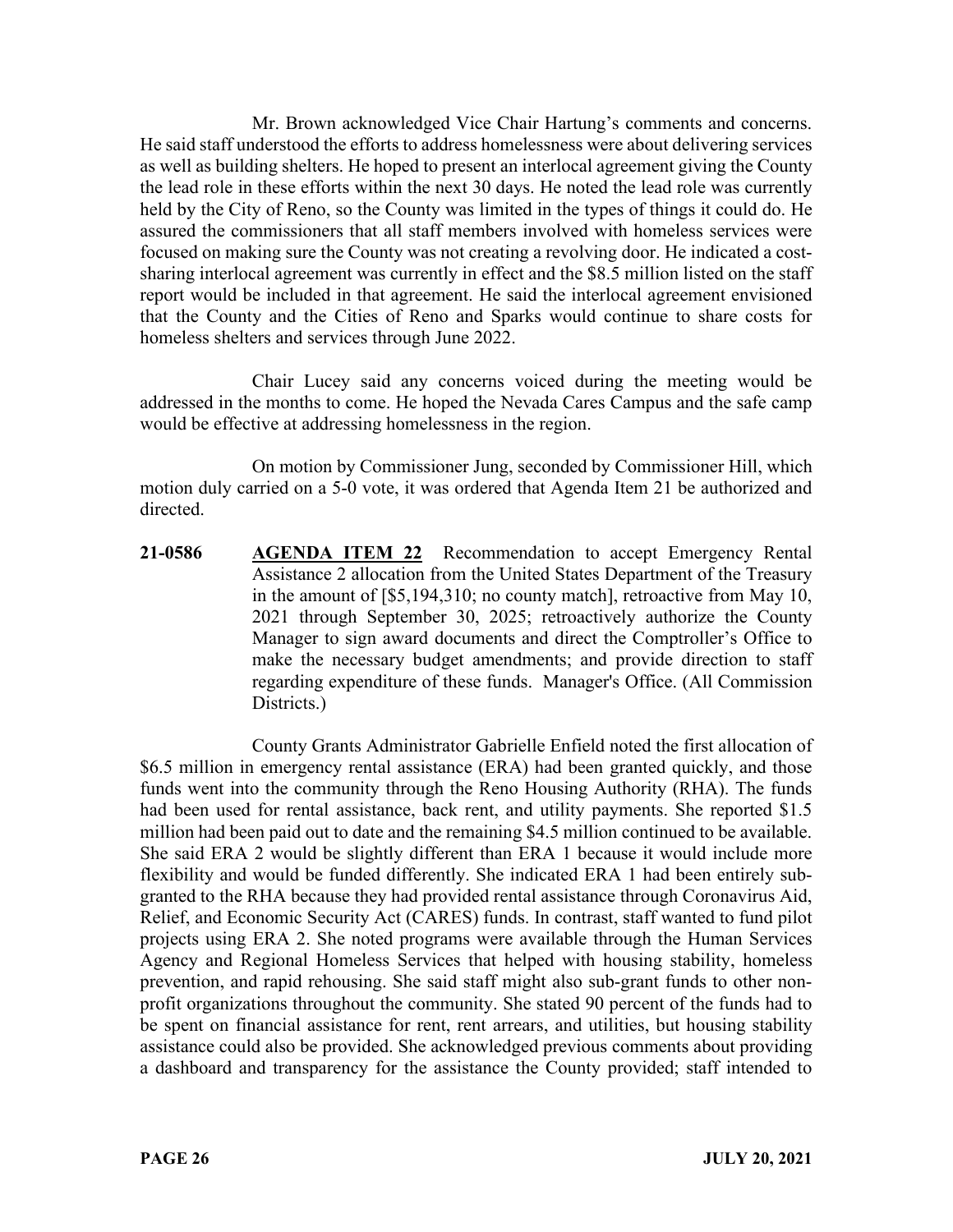Mr. Brown acknowledged Vice Chair Hartung's comments and concerns. He said staff understood the efforts to address homelessness were about delivering services as well as building shelters. He hoped to present an interlocal agreement giving the County the lead role in these efforts within the next 30 days. He noted the lead role was currently held by the City of Reno, so the County was limited in the types of things it could do. He assured the commissioners that all staff members involved with homeless services were focused on making sure the County was not creating a revolving door. He indicated a costsharing interlocal agreement was currently in effect and the \$8.5 million listed on the staff report would be included in that agreement. He said the interlocal agreement envisioned that the County and the Cities of Reno and Sparks would continue to share costs for homeless shelters and services through June 2022.

Chair Lucey said any concerns voiced during the meeting would be addressed in the months to come. He hoped the Nevada Cares Campus and the safe camp would be effective at addressing homelessness in the region.

On motion by Commissioner Jung, seconded by Commissioner Hill, which motion duly carried on a 5-0 vote, it was ordered that Agenda Item 21 be authorized and directed.

**21-0586 AGENDA ITEM 22** Recommendation to accept Emergency Rental Assistance 2 allocation from the United States Department of the Treasury in the amount of [\$5,194,310; no county match], retroactive from May 10, 2021 through September 30, 2025; retroactively authorize the County Manager to sign award documents and direct the Comptroller's Office to make the necessary budget amendments; and provide direction to staff regarding expenditure of these funds. Manager's Office. (All Commission Districts.)

County Grants Administrator Gabrielle Enfield noted the first allocation of \$6.5 million in emergency rental assistance (ERA) had been granted quickly, and those funds went into the community through the Reno Housing Authority (RHA). The funds had been used for rental assistance, back rent, and utility payments. She reported \$1.5 million had been paid out to date and the remaining \$4.5 million continued to be available. She said ERA 2 would be slightly different than ERA 1 because it would include more flexibility and would be funded differently. She indicated ERA 1 had been entirely subgranted to the RHA because they had provided rental assistance through Coronavirus Aid, Relief, and Economic Security Act (CARES) funds. In contrast, staff wanted to fund pilot projects using ERA 2. She noted programs were available through the Human Services Agency and Regional Homeless Services that helped with housing stability, homeless prevention, and rapid rehousing. She said staff might also sub-grant funds to other nonprofit organizations throughout the community. She stated 90 percent of the funds had to be spent on financial assistance for rent, rent arrears, and utilities, but housing stability assistance could also be provided. She acknowledged previous comments about providing a dashboard and transparency for the assistance the County provided; staff intended to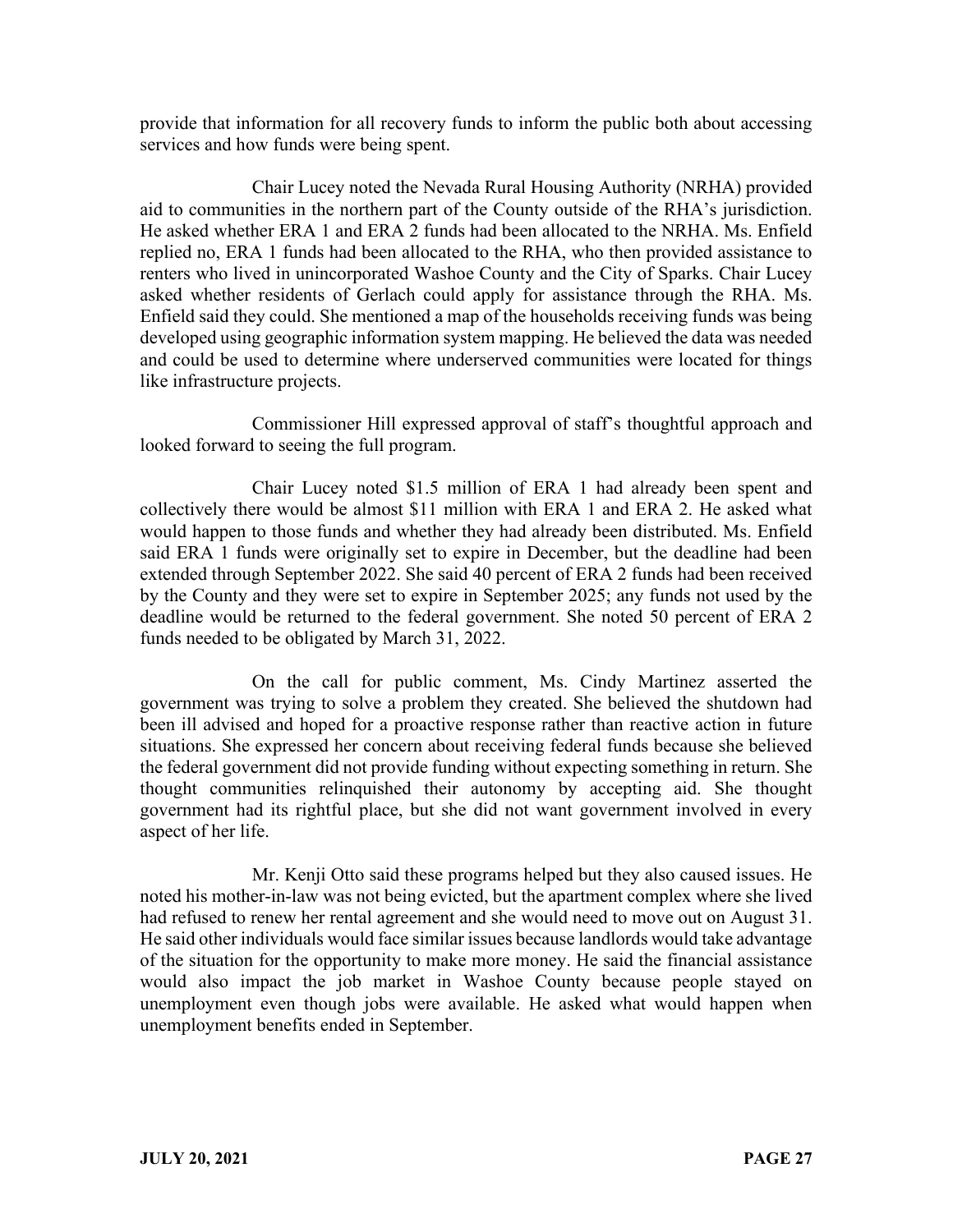provide that information for all recovery funds to inform the public both about accessing services and how funds were being spent.

Chair Lucey noted the Nevada Rural Housing Authority (NRHA) provided aid to communities in the northern part of the County outside of the RHA's jurisdiction. He asked whether ERA 1 and ERA 2 funds had been allocated to the NRHA. Ms. Enfield replied no, ERA 1 funds had been allocated to the RHA, who then provided assistance to renters who lived in unincorporated Washoe County and the City of Sparks. Chair Lucey asked whether residents of Gerlach could apply for assistance through the RHA. Ms. Enfield said they could. She mentioned a map of the households receiving funds was being developed using geographic information system mapping. He believed the data was needed and could be used to determine where underserved communities were located for things like infrastructure projects.

Commissioner Hill expressed approval of staff's thoughtful approach and looked forward to seeing the full program.

Chair Lucey noted \$1.5 million of ERA 1 had already been spent and collectively there would be almost \$11 million with ERA 1 and ERA 2. He asked what would happen to those funds and whether they had already been distributed. Ms. Enfield said ERA 1 funds were originally set to expire in December, but the deadline had been extended through September 2022. She said 40 percent of ERA 2 funds had been received by the County and they were set to expire in September 2025; any funds not used by the deadline would be returned to the federal government. She noted 50 percent of ERA 2 funds needed to be obligated by March 31, 2022.

On the call for public comment, Ms. Cindy Martinez asserted the government was trying to solve a problem they created. She believed the shutdown had been ill advised and hoped for a proactive response rather than reactive action in future situations. She expressed her concern about receiving federal funds because she believed the federal government did not provide funding without expecting something in return. She thought communities relinquished their autonomy by accepting aid. She thought government had its rightful place, but she did not want government involved in every aspect of her life.

Mr. Kenji Otto said these programs helped but they also caused issues. He noted his mother-in-law was not being evicted, but the apartment complex where she lived had refused to renew her rental agreement and she would need to move out on August 31. He said other individuals would face similar issues because landlords would take advantage of the situation for the opportunity to make more money. He said the financial assistance would also impact the job market in Washoe County because people stayed on unemployment even though jobs were available. He asked what would happen when unemployment benefits ended in September.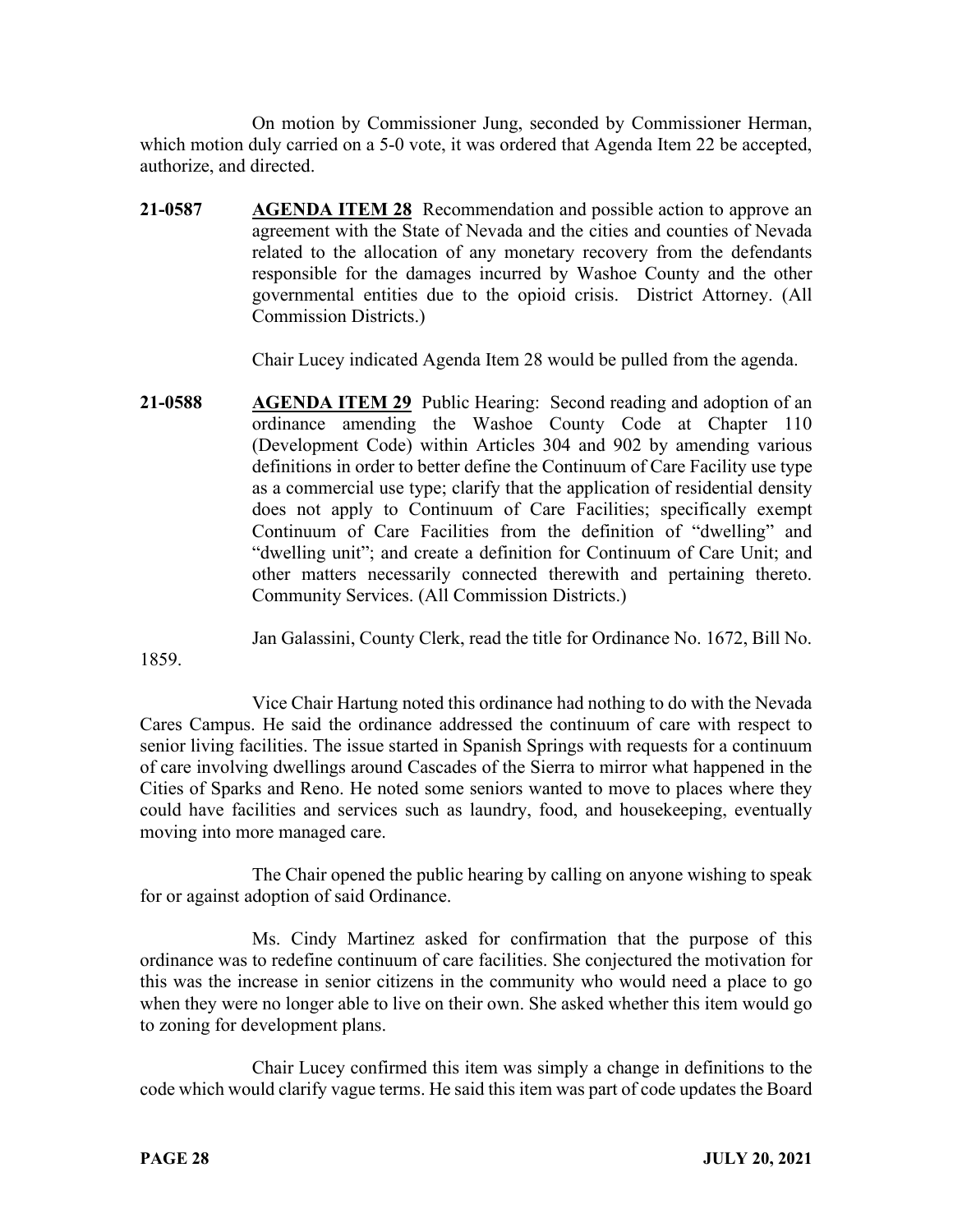On motion by Commissioner Jung, seconded by Commissioner Herman, which motion duly carried on a 5-0 vote, it was ordered that Agenda Item 22 be accepted, authorize, and directed.

**21-0587 AGENDA ITEM 28** Recommendation and possible action to approve an agreement with the State of Nevada and the cities and counties of Nevada related to the allocation of any monetary recovery from the defendants responsible for the damages incurred by Washoe County and the other governmental entities due to the opioid crisis. District Attorney. (All Commission Districts.)

Chair Lucey indicated Agenda Item 28 would be pulled from the agenda.

**21-0588 AGENDA ITEM 29** Public Hearing: Second reading and adoption of an ordinance amending the Washoe County Code at Chapter 110 (Development Code) within Articles 304 and 902 by amending various definitions in order to better define the Continuum of Care Facility use type as a commercial use type; clarify that the application of residential density does not apply to Continuum of Care Facilities; specifically exempt Continuum of Care Facilities from the definition of "dwelling" and "dwelling unit"; and create a definition for Continuum of Care Unit; and other matters necessarily connected therewith and pertaining thereto. Community Services. (All Commission Districts.)

Jan Galassini, County Clerk, read the title for Ordinance No. 1672, Bill No.

1859.

Vice Chair Hartung noted this ordinance had nothing to do with the Nevada Cares Campus. He said the ordinance addressed the continuum of care with respect to senior living facilities. The issue started in Spanish Springs with requests for a continuum of care involving dwellings around Cascades of the Sierra to mirror what happened in the Cities of Sparks and Reno. He noted some seniors wanted to move to places where they could have facilities and services such as laundry, food, and housekeeping, eventually moving into more managed care.

The Chair opened the public hearing by calling on anyone wishing to speak for or against adoption of said Ordinance.

Ms. Cindy Martinez asked for confirmation that the purpose of this ordinance was to redefine continuum of care facilities. She conjectured the motivation for this was the increase in senior citizens in the community who would need a place to go when they were no longer able to live on their own. She asked whether this item would go to zoning for development plans.

Chair Lucey confirmed this item was simply a change in definitions to the code which would clarify vague terms. He said this item was part of code updates the Board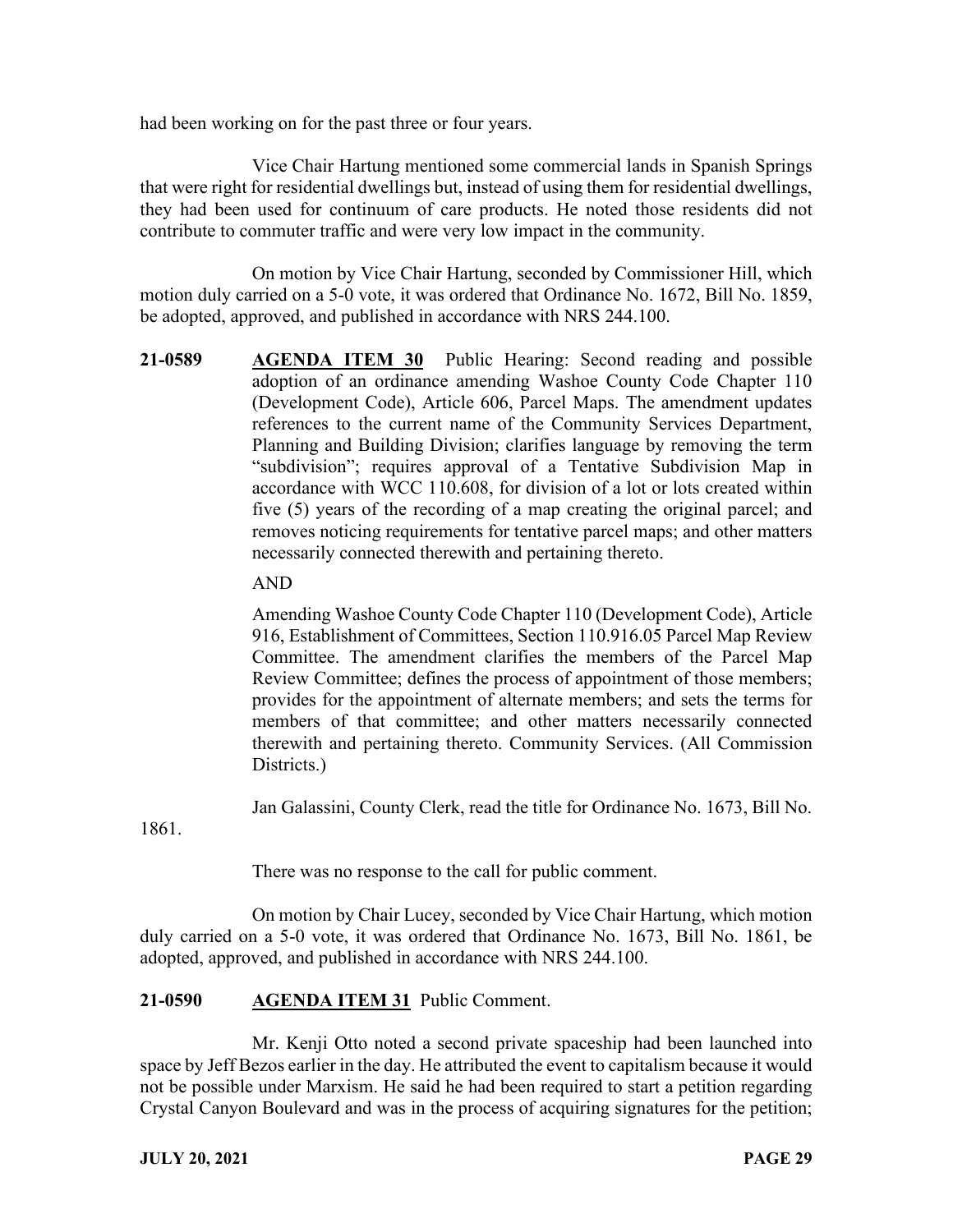had been working on for the past three or four years.

Vice Chair Hartung mentioned some commercial lands in Spanish Springs that were right for residential dwellings but, instead of using them for residential dwellings, they had been used for continuum of care products. He noted those residents did not contribute to commuter traffic and were very low impact in the community.

On motion by Vice Chair Hartung, seconded by Commissioner Hill, which motion duly carried on a 5-0 vote, it was ordered that Ordinance No. 1672, Bill No. 1859, be adopted, approved, and published in accordance with NRS 244.100.

**21-0589 AGENDA ITEM 30** Public Hearing: Second reading and possible adoption of an ordinance amending Washoe County Code Chapter 110 (Development Code), Article 606, Parcel Maps. The amendment updates references to the current name of the Community Services Department, Planning and Building Division; clarifies language by removing the term "subdivision"; requires approval of a Tentative Subdivision Map in accordance with WCC 110.608, for division of a lot or lots created within five (5) years of the recording of a map creating the original parcel; and removes noticing requirements for tentative parcel maps; and other matters necessarily connected therewith and pertaining thereto.

#### AND

Amending Washoe County Code Chapter 110 (Development Code), Article 916, Establishment of Committees, Section 110.916.05 Parcel Map Review Committee. The amendment clarifies the members of the Parcel Map Review Committee; defines the process of appointment of those members; provides for the appointment of alternate members; and sets the terms for members of that committee; and other matters necessarily connected therewith and pertaining thereto. Community Services. (All Commission Districts.)

Jan Galassini, County Clerk, read the title for Ordinance No. 1673, Bill No.

1861.

There was no response to the call for public comment.

On motion by Chair Lucey, seconded by Vice Chair Hartung, which motion duly carried on a 5-0 vote, it was ordered that Ordinance No. 1673, Bill No. 1861, be adopted, approved, and published in accordance with NRS 244.100.

# **21-0590 AGENDA ITEM 31** Public Comment.

Mr. Kenji Otto noted a second private spaceship had been launched into space by Jeff Bezos earlier in the day. He attributed the event to capitalism because it would not be possible under Marxism. He said he had been required to start a petition regarding Crystal Canyon Boulevard and was in the process of acquiring signatures for the petition;